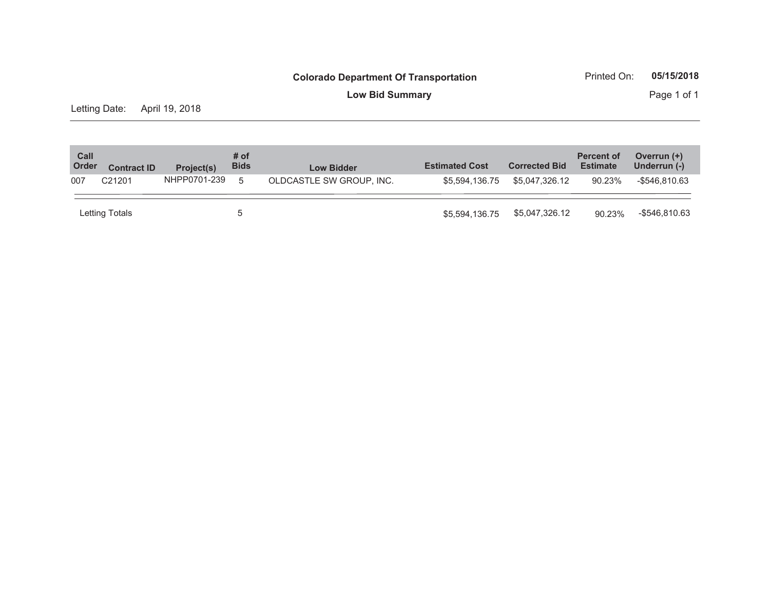**Low Bid Summary** Page 1 of 1

Letting Date: April 19, 2018

| Call<br>Order                                  | <b>Contract ID</b> | Project(s)               | # of<br><b>Bids</b> | <b>Low Bidder</b> | <b>Estimated Cost</b> | <b>Corrected Bid</b> | <b>Percent of</b><br><b>Estimate</b> | Overrun (+)<br>Underrun (-) |
|------------------------------------------------|--------------------|--------------------------|---------------------|-------------------|-----------------------|----------------------|--------------------------------------|-----------------------------|
| NHPP0701-239<br>C <sub>21201</sub><br>007<br>5 |                    | OLDCASTLE SW GROUP. INC. | \$5,594,136,75      | \$5.047.326.12    | 90.23%                | -\$546.810.63        |                                      |                             |
|                                                | Letting Totals     |                          | 5                   |                   | \$5.594.136.75        | \$5,047,326.12       | 90.23%                               | -\$546,810.63               |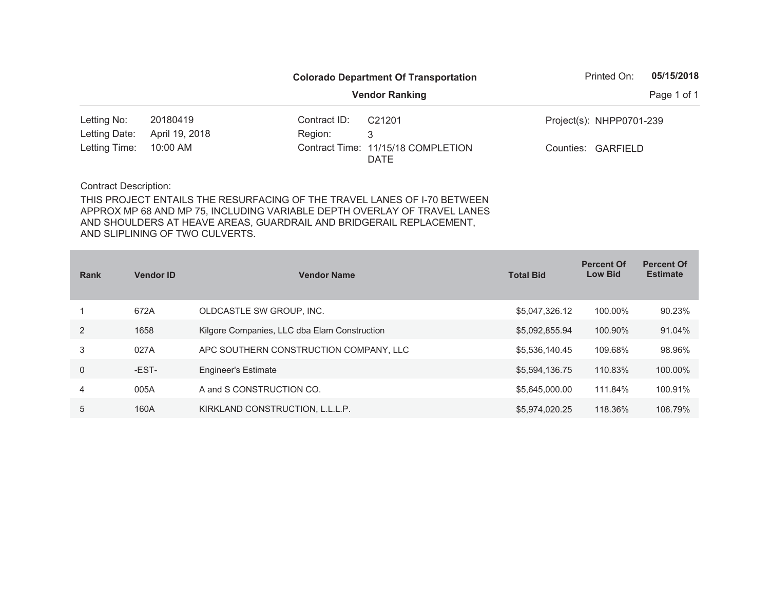|               |                |              | <b>Colorado Department Of Transportation</b>      | Printed On:              | 05/15/2018 |  |
|---------------|----------------|--------------|---------------------------------------------------|--------------------------|------------|--|
|               |                |              | <b>Vendor Ranking</b>                             | Page 1 of 1              |            |  |
| Letting No:   | 20180419       | Contract ID: | C <sub>21201</sub>                                | Project(s): NHPP0701-239 |            |  |
| Letting Date: | April 19, 2018 | Region:      | 3                                                 |                          |            |  |
| Letting Time: | 10:00 AM       |              | Contract Time: 11/15/18 COMPLETION<br><b>DATE</b> | Counties: GARFIELD       |            |  |
|               |                |              |                                                   |                          |            |  |

| <b>Rank</b> | <b>Vendor ID</b> | <b>Vendor Name</b>                           | <b>Total Bid</b> | <b>Percent Of</b><br><b>Low Bid</b> | <b>Percent Of</b><br><b>Estimate</b> |
|-------------|------------------|----------------------------------------------|------------------|-------------------------------------|--------------------------------------|
|             | 672A             | OLDCASTLE SW GROUP, INC.                     | \$5,047,326.12   | 100.00%                             | 90.23%                               |
| 2           | 1658             | Kilgore Companies, LLC dba Elam Construction | \$5,092,855.94   | 100.90%                             | 91.04%                               |
| 3           | 027A             | APC SOUTHERN CONSTRUCTION COMPANY, LLC       | \$5,536,140.45   | 109.68%                             | 98.96%                               |
| $\Omega$    | -EST-            | <b>Engineer's Estimate</b>                   | \$5,594,136.75   | 110.83%                             | 100.00%                              |
| 4           | 005A             | A and S CONSTRUCTION CO.                     | \$5,645,000.00   | 111.84%                             | 100.91%                              |
| 5           | 160A             | KIRKLAND CONSTRUCTION, L.L.L.P.              | \$5,974,020.25   | 118.36%                             | 106.79%                              |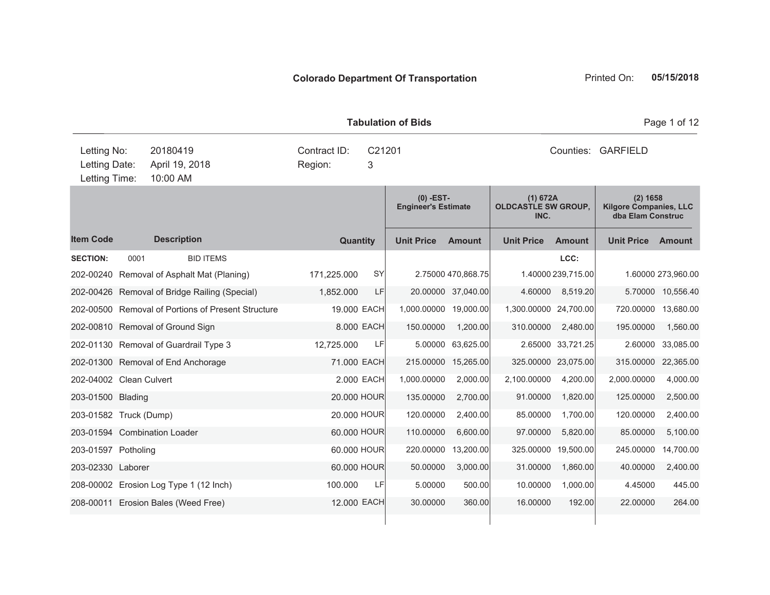|                                               |      |                                                    |                         |            | <b>Tabulation of Bids</b>                 |                       | Page 1 of 12                                   |                    |                                                                  |                    |  |
|-----------------------------------------------|------|----------------------------------------------------|-------------------------|------------|-------------------------------------------|-----------------------|------------------------------------------------|--------------------|------------------------------------------------------------------|--------------------|--|
| Letting No:<br>Letting Date:<br>Letting Time: |      | 20180419<br>April 19, 2018<br>10:00 AM             | Contract ID:<br>Region: | C21201     |                                           | Counties:<br>GARFIELD |                                                |                    |                                                                  |                    |  |
|                                               |      |                                                    |                         |            | $(0)$ -EST-<br><b>Engineer's Estimate</b> |                       | (1) 672A<br><b>OLDCASTLE SW GROUP,</b><br>INC. |                    | $(2)$ 1658<br><b>Kilgore Companies, LLC</b><br>dba Elam Construc |                    |  |
| <b>Item Code</b>                              |      | <b>Description</b>                                 | <b>Quantity</b>         |            | <b>Unit Price</b>                         | <b>Amount</b>         | <b>Unit Price</b>                              | <b>Amount</b>      | <b>Unit Price</b>                                                | <b>Amount</b>      |  |
| <b>SECTION:</b>                               | 0001 | <b>BID ITEMS</b>                                   |                         |            |                                           |                       |                                                | LCC:               |                                                                  |                    |  |
| 202-00240                                     |      | Removal of Asphalt Mat (Planing)                   | 171,225.000             | SY         |                                           | 2.75000 470,868.75    |                                                | 1.40000 239,715.00 |                                                                  | 1.60000 273,960.00 |  |
|                                               |      | 202-00426 Removal of Bridge Railing (Special)      | 1,852.000               | LF         |                                           | 20.00000 37,040.00    | 4.60000                                        | 8,519.20           | 5.70000                                                          | 10,556.40          |  |
|                                               |      | 202-00500 Removal of Portions of Present Structure | 19.000 EACH             |            | 1,000.00000 19,000.00                     |                       | 1,300.00000 24,700.00                          |                    | 720.00000                                                        | 13,680.00          |  |
|                                               |      | 202-00810 Removal of Ground Sign                   |                         | 8.000 EACH | 150.00000                                 | 1,200.00              | 310.00000                                      | 2,480.00           | 195.00000                                                        | 1,560.00           |  |
|                                               |      | 202-01130 Removal of Guardrail Type 3              | 12,725.000              | LF         | 5.00000                                   | 63,625.00             |                                                | 2.65000 33,721.25  | 2.60000                                                          | 33,085.00          |  |
|                                               |      | 202-01300 Removal of End Anchorage                 | 71.000 EACH             |            | 215.00000                                 | 15,265.00             | 325.00000                                      | 23,075.00          | 315.00000                                                        | 22,365.00          |  |
| 202-04002 Clean Culvert                       |      |                                                    |                         | 2.000 EACH | 1,000.00000                               | 2,000.00              | 2,100.00000                                    | 4,200.00           | 2,000.00000                                                      | 4,000.00           |  |
| 203-01500 Blading                             |      |                                                    | 20.000 HOUR             |            | 135.00000                                 | 2,700.00              | 91.00000                                       | 1,820.00           | 125.00000                                                        | 2,500.00           |  |
| 203-01582 Truck (Dump)                        |      |                                                    | 20.000 HOUR             |            | 120.00000                                 | 2,400.00              | 85.00000                                       | 1,700.00           | 120.00000                                                        | 2,400.00           |  |
|                                               |      | 203-01594 Combination Loader                       | 60,000 HOUR             |            | 110.00000                                 | 6,600.00              | 97.00000                                       | 5,820.00           | 85.00000                                                         | 5,100.00           |  |
| 203-01597 Potholing                           |      |                                                    | 60.000 HOUR             |            | 220.00000                                 | 13,200.00             | 325.00000                                      | 19,500.00          | 245.00000                                                        | 14,700.00          |  |
| 203-02330 Laborer                             |      |                                                    | 60.000 HOUR             |            | 50.00000                                  | 3,000.00              | 31.00000                                       | 1,860.00           | 40.00000                                                         | 2,400.00           |  |
|                                               |      | 208-00002 Erosion Log Type 1 (12 Inch)             | 100,000                 | LF         | 5.00000                                   | 500.00                | 10.00000                                       | 1,000.00           | 4.45000                                                          | 445.00             |  |
|                                               |      | 208-00011 Erosion Bales (Weed Free)                | 12.000 EACH             |            | 30.00000                                  | 360.00                | 16.00000                                       | 192.00             | 22.00000                                                         | 264.00             |  |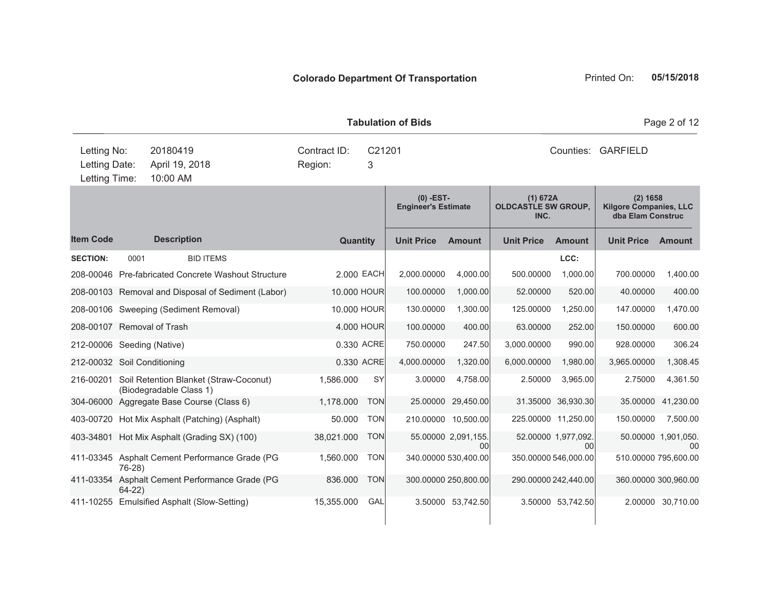|                                               |          |                                                                   | <b>Tabulation of Bids</b> | Page 2 of 12 |                                           |                           |                   |                                                                                                            |                   |                           |  |
|-----------------------------------------------|----------|-------------------------------------------------------------------|---------------------------|--------------|-------------------------------------------|---------------------------|-------------------|------------------------------------------------------------------------------------------------------------|-------------------|---------------------------|--|
| Letting No:<br>Letting Date:<br>Letting Time: |          | 20180419<br>April 19, 2018<br>10:00 AM                            | Contract ID:<br>Region:   |              | Counties: GARFIELD                        |                           |                   |                                                                                                            |                   |                           |  |
|                                               |          |                                                                   |                           |              | $(0)$ -EST-<br><b>Engineer's Estimate</b> |                           | INC.              | (1) 672A<br>$(2)$ 1658<br><b>OLDCASTLE SW GROUP,</b><br><b>Kilgore Companies, LLC</b><br>dba Elam Construc |                   |                           |  |
| <b>Item Code</b>                              |          | <b>Description</b>                                                | <b>Quantity</b>           |              | <b>Unit Price</b>                         | <b>Amount</b>             | <b>Unit Price</b> | <b>Amount</b>                                                                                              | <b>Unit Price</b> | Amount                    |  |
| <b>SECTION:</b>                               | 0001     | <b>BID ITEMS</b>                                                  |                           |              |                                           |                           |                   | LCC:                                                                                                       |                   |                           |  |
|                                               |          | 208-00046 Pre-fabricated Concrete Washout Structure               | 2.000 EACH                |              | 2,000.00000                               | 4,000.00                  | 500.00000         | 1,000.00                                                                                                   | 700.00000         | 1,400.00                  |  |
|                                               |          | 208-00103 Removal and Disposal of Sediment (Labor)                | 10.000 HOUR               |              | 100.00000                                 | 1,000.00                  | 52.00000          | 520.00                                                                                                     | 40.00000          | 400.00                    |  |
|                                               |          | 208-00106 Sweeping (Sediment Removal)                             | 10.000 HOUR               |              | 130.00000                                 | 1,300.00                  | 125.00000         | 1,250.00                                                                                                   | 147.00000         | 1,470.00                  |  |
| 208-00107 Removal of Trash                    |          |                                                                   | 4.000 HOUR                |              | 100.00000                                 | 400.00                    | 63.00000          | 252.00                                                                                                     | 150.00000         | 600.00                    |  |
| 212-00006 Seeding (Native)                    |          |                                                                   | 0.330 ACRE                |              | 750.00000                                 | 247.50                    | 3,000.00000       | 990.00                                                                                                     | 928.00000         | 306.24                    |  |
| 212-00032 Soil Conditioning                   |          |                                                                   | 0.330 ACRE                |              | 4,000.00000                               | 1,320.00                  | 6,000.00000       | 1,980.00                                                                                                   | 3,965.00000       | 1,308.45                  |  |
| 216-00201                                     |          | Soil Retention Blanket (Straw-Coconut)<br>(Biodegradable Class 1) | 1,586.000                 | <b>SY</b>    | 3.00000                                   | 4.758.00                  | 2.50000           | 3,965.00                                                                                                   | 2.75000           | 4,361.50                  |  |
|                                               |          | 304-06000 Aggregate Base Course (Class 6)                         | 1,178.000                 | <b>TON</b>   | 25.00000                                  | 29,450.00                 |                   | 31.35000 36,930.30                                                                                         | 35.00000          | 41,230.00                 |  |
|                                               |          | 403-00720 Hot Mix Asphalt (Patching) (Asphalt)                    | 50.000                    | <b>TON</b>   |                                           | 210.00000 10,500.00       |                   | 225.00000 11,250.00                                                                                        | 150.00000         | 7,500.00                  |  |
|                                               |          | 403-34801 Hot Mix Asphalt (Grading SX) (100)                      | 38,021.000                | <b>TON</b>   |                                           | 55.00000 2,091,155.<br>00 |                   | 52.00000 1,977,092.<br>00                                                                                  |                   | 50.00000 1,901,050.<br>00 |  |
|                                               | 76-28)   | 411-03345 Asphalt Cement Performance Grade (PG                    | 1,560.000                 | <b>TON</b>   |                                           | 340.00000 530,400.00      |                   | 350.00000 546,000.00                                                                                       |                   | 510.00000 795,600.00      |  |
| 411-03354                                     | $64-22)$ | Asphalt Cement Performance Grade (PG                              | 836.000                   | <b>TON</b>   |                                           | 300.00000 250,800.00      |                   | 290.00000 242,440.00                                                                                       |                   | 360.00000 300,960.00      |  |

411-10255 Emulsified Asphalt (Slow-Setting) 15,355.000 GAL 3.50000 53,742.50 3.50000 53,742.50 2.00000 30,710.00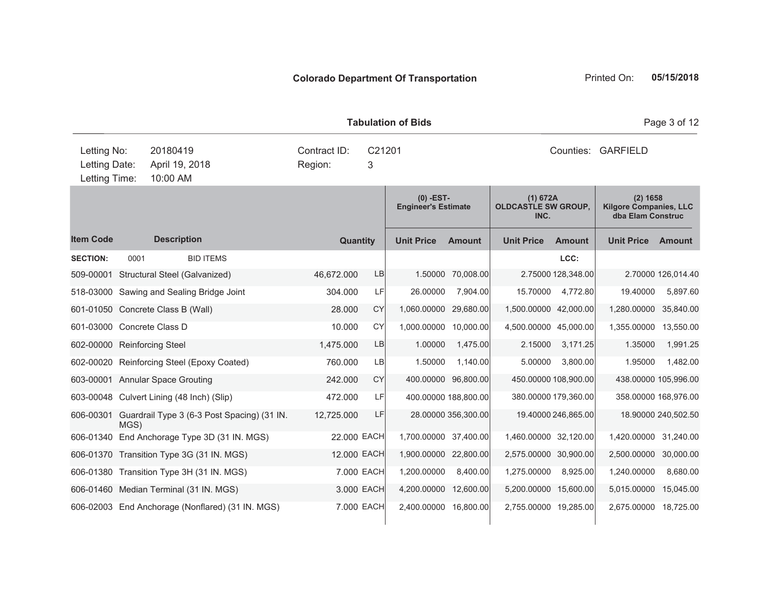|                                               |      |                                              | <b>Tabulation of Bids</b> | Page 3 of 12 |                                           |                      |                                                |                      |                                                                  |                      |
|-----------------------------------------------|------|----------------------------------------------|---------------------------|--------------|-------------------------------------------|----------------------|------------------------------------------------|----------------------|------------------------------------------------------------------|----------------------|
| Letting No:<br>Letting Date:<br>Letting Time: |      | 20180419<br>April 19, 2018<br>10:00 AM       | Contract ID:<br>Region:   | C21201<br>3  |                                           |                      |                                                | Counties:            | <b>GARFIELD</b>                                                  |                      |
|                                               |      |                                              |                           |              | $(0)$ -EST-<br><b>Engineer's Estimate</b> |                      | (1) 672A<br><b>OLDCASTLE SW GROUP,</b><br>INC. |                      | $(2)$ 1658<br><b>Kilgore Companies, LLC</b><br>dba Elam Construc |                      |
| <b>Item Code</b>                              |      | <b>Description</b>                           | <b>Quantity</b>           |              | <b>Unit Price</b>                         | <b>Amount</b>        | <b>Unit Price</b>                              | <b>Amount</b>        | <b>Unit Price</b>                                                | <b>Amount</b>        |
| <b>SECTION:</b>                               | 0001 | <b>BID ITEMS</b>                             |                           |              |                                           |                      |                                                | LCC:                 |                                                                  |                      |
|                                               |      | 509-00001 Structural Steel (Galvanized)      | 46,672.000                | LB           |                                           | 1.50000 70,008.00    |                                                | 2.75000 128,348.00   |                                                                  | 2.70000 126,014.40   |
|                                               |      | 518-03000 Sawing and Sealing Bridge Joint    | 304.000                   | LF           | 26.00000                                  | 7,904.00             | 15.70000                                       | 4,772.80             | 19.40000                                                         | 5,897.60             |
|                                               |      | 601-01050 Concrete Class B (Wall)            | 28.000                    | <b>CY</b>    | 1,060.00000                               | 29,680.00            | 1,500.00000 42,000.00                          |                      | 1,280.00000                                                      | 35,840.00            |
| 601-03000 Concrete Class D                    |      |                                              | 10.000                    | <b>CY</b>    | 1,000.00000                               | 10,000.00            | 4,500.00000 45,000.00                          |                      | 1,355.00000                                                      | 13,550.00            |
| 602-00000 Reinforcing Steel                   |      |                                              | 1,475.000                 | LB           | 1.00000                                   | 1,475.00             | 2.15000                                        | 3,171.25             | 1.35000                                                          | 1,991.25             |
|                                               |      | 602-00020 Reinforcing Steel (Epoxy Coated)   | 760.000                   | <b>LB</b>    | 1.50000                                   | 1,140.00             | 5.00000                                        | 3,800.00             | 1.95000                                                          | 1,482.00             |
|                                               |      | 603-00001 Annular Space Grouting             | 242.000                   | <b>CY</b>    |                                           | 400.00000 96,800.00  |                                                | 450.00000 108,900.00 |                                                                  | 438.00000 105,996.00 |
|                                               |      | 603-00048 Culvert Lining (48 Inch) (Slip)    | 472.000                   | LF           |                                           | 400.00000 188,800.00 |                                                | 380.00000 179,360.00 |                                                                  | 358.00000 168,976.00 |
| 606-00301                                     | MGS) | Guardrail Type 3 (6-3 Post Spacing) (31 IN.  | 12,725.000                | LF           |                                           | 28.00000 356,300.00  |                                                | 19.40000 246,865.00  |                                                                  | 18.90000 240,502.50  |
|                                               |      | 606-01340 End Anchorage Type 3D (31 IN. MGS) | 22.000 EACH               |              | 1,700.00000 37,400.00                     |                      | 1,460,00000 32,120.00                          |                      | 1,420.00000                                                      | 31,240.00            |
|                                               |      | 606-01370 Transition Type 3G (31 IN. MGS)    | 12.000 EACH               |              | 1,900.00000                               | 22,800.00            | 2,575.00000 30,900.00                          |                      | 2,500.00000                                                      | 30,000.00            |
|                                               |      | 606-01380 Transition Type 3H (31 IN. MGS)    |                           | 7.000 EACH   | 1.200.00000                               | 8.400.00             | 1,275.00000                                    | 8,925.00             | 1.240.00000                                                      | 8,680.00             |

606-01460 Median Terminal (31 IN. MGS) 3.000 EACH 4,200.00000 12,600.00 5,200.00000 15,600.00 5,015.00000 15,045.00 606-02003 End Anchorage (Nonflared) (31 IN. MGS) 7.000 EACH 2,400.00000 16,800.00 2,755.00000 19,285.00 2,675.00000 18,725.00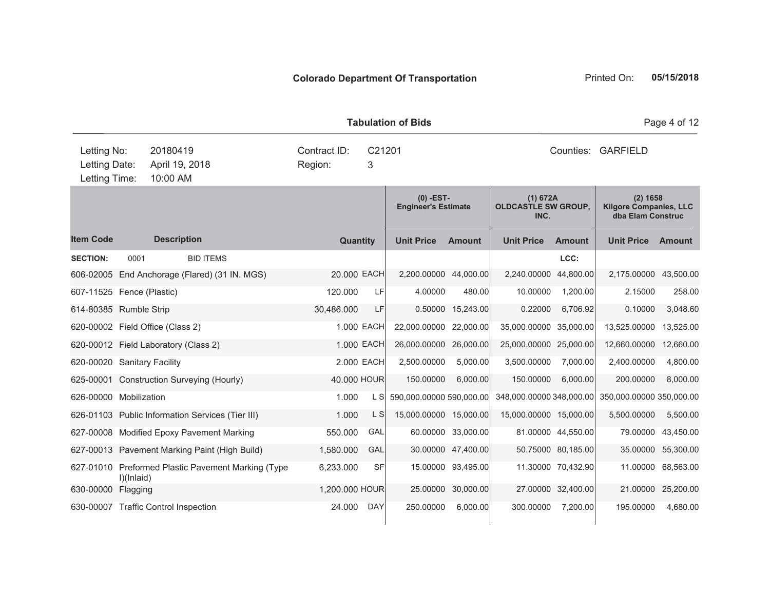| <b>Tabulation of Bids</b><br>Page 4 of 12     |      |                                                  |                         |                 |             |                                           |                    |                                                |                    |                                                                  |                    |
|-----------------------------------------------|------|--------------------------------------------------|-------------------------|-----------------|-------------|-------------------------------------------|--------------------|------------------------------------------------|--------------------|------------------------------------------------------------------|--------------------|
| Letting No:<br>Letting Date:<br>Letting Time: |      | 20180419<br>April 19, 2018<br>10:00 AM           | Contract ID:<br>Region: |                 | C21201<br>3 |                                           |                    |                                                | Counties:          | <b>GARFIELD</b>                                                  |                    |
|                                               |      |                                                  |                         |                 |             | $(0)$ -EST-<br><b>Engineer's Estimate</b> |                    | (1) 672A<br><b>OLDCASTLE SW GROUP,</b><br>INC. |                    | $(2)$ 1658<br><b>Kilgore Companies, LLC</b><br>dba Elam Construc |                    |
| <b>Item Code</b>                              |      | <b>Description</b>                               |                         | <b>Quantity</b> |             | <b>Unit Price</b>                         | <b>Amount</b>      | <b>Unit Price</b>                              | <b>Amount</b>      | <b>Unit Price</b>                                                | <b>Amount</b>      |
| <b>SECTION:</b>                               | 0001 | <b>BID ITEMS</b>                                 |                         |                 |             |                                           |                    |                                                | LCC:               |                                                                  |                    |
| 606-02005                                     |      | End Anchorage (Flared) (31 IN. MGS)              |                         |                 | 20.000 EACH | 2,200,00000 44,000.00                     |                    | 2,240.00000                                    | 44,800.00          | 2,175.00000                                                      | 43,500.00          |
| 607-11525 Fence (Plastic)                     |      |                                                  |                         | 120,000         | LF          | 4.00000                                   | 480.00             | 10.00000                                       | 1,200.00           | 2.15000                                                          | 258.00             |
| 614-80385 Rumble Strip                        |      |                                                  | 30,486.000              |                 | LF          | 0.50000                                   | 15,243.00          | 0.22000                                        | 6,706.92           | 0.10000                                                          | 3,048.60           |
|                                               |      | 620-00002 Field Office (Class 2)                 |                         |                 | 1.000 EACH  | 22,000.00000                              | 22,000.00          | 35,000.00000                                   | 35,000.00          | 13,525.00000                                                     | 13,525.00          |
|                                               |      | 620-00012 Field Laboratory (Class 2)             |                         |                 | 1.000 EACH  | 26,000.00000                              | 26,000.00          | 25,000.00000 25,000.00                         |                    | 12,660.00000                                                     | 12,660.00          |
| 620-00020 Sanitary Facility                   |      |                                                  |                         |                 | 2.000 EACH  | 2,500.00000                               | 5,000.00           | 3,500.00000                                    | 7,000.00           | 2,400.00000                                                      | 4,800.00           |
|                                               |      | 625-00001 Construction Surveying (Hourly)        |                         |                 | 40.000 HOUR | 150.00000                                 | 6,000.00           | 150.00000                                      | 6,000.00           | 200.00000                                                        | 8,000.00           |
| 626-00000 Mobilization                        |      |                                                  |                         | 1.000           | L S         | 590,000.00000 590,000.00                  |                    | 348,000.00000 348,000.00                       |                    | 350,000.00000 350,000.00                                         |                    |
|                                               |      | 626-01103 Public Information Services (Tier III) |                         | 1.000           | L S         | 15,000.00000 15,000.00                    |                    | 15,000.00000 15,000.00                         |                    | 5,500.00000                                                      | 5,500.00           |
|                                               |      | 627-00008 Modified Epoxy Pavement Marking        |                         | 550.000         | GAL         |                                           | 60.00000 33.000.00 |                                                | 81.00000 44,550.00 |                                                                  | 79.00000 43,450.00 |

627-00013 Pavement Marking Paint (High Build) 1,580.000 GAL 30.00000 47,400.00 50.75000 80,185.00 35.00000 55,300.00

630-00000 Flagging 25,200.00 HOUR 25.00000 30,000.00 27.00000 32,400.00 21.00000 25,200.00 630-00007 Traffic Control Inspection 24.000 DAY 250.00000 6,000.00 300.00000 7,200.00 195.00000 4,680.00

627-01010 Preformed Plastic Pavement Marking (Type

I)(Inlaid)

6,233.000 SF 15.00000 93,495.00 11.30000 70,432.90 11.00000 68,563.00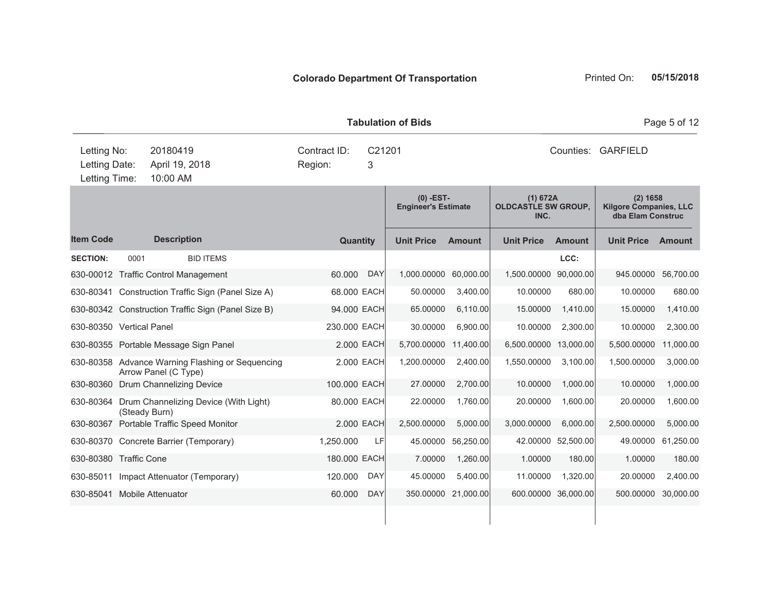|                                               |      |                                                                                  | <b>Tabulation of Bids</b> | Page 5 of 12 |                                           |               |                                                |                    |                                                                  |               |
|-----------------------------------------------|------|----------------------------------------------------------------------------------|---------------------------|--------------|-------------------------------------------|---------------|------------------------------------------------|--------------------|------------------------------------------------------------------|---------------|
| Letting No:<br>Letting Date:<br>Letting Time: |      | 20180419<br>Contract ID:<br>C21201<br>April 19, 2018<br>3<br>Region:<br>10:00 AM |                           |              |                                           |               |                                                |                    | Counties: GARFIELD                                               |               |
|                                               |      |                                                                                  |                           |              | $(0)$ -EST-<br><b>Engineer's Estimate</b> |               | (1) 672A<br><b>OLDCASTLE SW GROUP,</b><br>INC. |                    | $(2)$ 1658<br><b>Kilgore Companies, LLC</b><br>dba Elam Construc |               |
| <b>Item Code</b>                              |      | <b>Description</b>                                                               | Quantity                  |              | <b>Unit Price</b>                         | <b>Amount</b> | <b>Unit Price</b>                              | <b>Amount</b>      | <b>Unit Price</b>                                                | <b>Amount</b> |
| <b>SECTION:</b>                               | 0001 | <b>BID ITEMS</b>                                                                 |                           |              |                                           |               |                                                | LCC:               |                                                                  |               |
|                                               |      | 630-00012 Traffic Control Management                                             | 60,000                    | <b>DAY</b>   | 1,000.00000                               | 60,000.00     | 1,500,00000 90,000.00                          |                    | 945.00000                                                        | 56,700.00     |
|                                               |      | 630-80341 Construction Traffic Sign (Panel Size A)                               | 68.000 EACH               |              | 50.00000                                  | 3,400.00      | 10.00000                                       | 680.00             | 10.00000                                                         | 680.00        |
|                                               |      | 630-80342 Construction Traffic Sign (Panel Size B)                               | 94.000 EACH               |              | 65.00000                                  | 6,110.00      | 15.00000                                       | 1,410.00           | 15.00000                                                         | 1,410.00      |
| 630-80350 Vertical Panel                      |      |                                                                                  | 230.000 EACH              |              | 30.00000                                  | 6,900.00      | 10.00000                                       | 2,300.00           | 10.00000                                                         | 2,300.00      |
|                                               |      | 630-80355 Portable Message Sign Panel                                            |                           | 2.000 EACH   | 5,700.00000                               | 11,400.00     | 6,500.00000 13,000.00                          |                    | 5,500.00000                                                      | 11,000.00     |
|                                               |      | 630-80358 Advance Warning Flashing or Sequencing<br>Arrow Panel (C Type)         |                           | 2,000 EACH   | 1,200.00000                               | 2,400.00      | 1,550.00000                                    | 3,100.00           | 1,500.00000                                                      | 3,000.00      |
|                                               |      | 630-80360 Drum Channelizing Device                                               | 100.000 EACH              |              | 27.00000                                  | 2,700.00      | 10.00000                                       | 1,000.00           | 10.00000                                                         | 1,000.00      |
|                                               |      | 630-80364 Drum Channelizing Device (With Light)<br>(Steady Burn)                 | 80,000 EACH               |              | 22.00000                                  | 1,760.00      | 20.00000                                       | 1,600.00           | 20.00000                                                         | 1,600.00      |
|                                               |      | 630-80367 Portable Traffic Speed Monitor                                         |                           | 2.000 EACH   | 2,500.00000                               | 5,000.00      | 3,000.00000                                    | 6,000.00           | 2,500.00000                                                      | 5,000.00      |
|                                               |      | 630-80370 Concrete Barrier (Temporary)                                           | 1,250.000                 | LF           | 45.00000                                  | 56,250.00     |                                                | 42.00000 52,500.00 | 49.00000                                                         | 61,250.00     |
| 630-80380 Traffic Cone                        |      |                                                                                  | 180.000 EACH              |              | 7.00000                                   | 1,260.00      | 1.00000                                        | 180.00             | 1.00000                                                          | 180.00        |
|                                               |      | 630-85011 Impact Attenuator (Temporary)                                          | 120,000                   | <b>DAY</b>   | 45.00000                                  | 5.400.00      | 11.00000                                       | 1.320.00           | 20.00000                                                         | 2,400.00      |

630-85041 Mobile Attenuator 60.000 DAY 350.00000 21,000.00 600.00000 36,000.00 500.00000 30,000.00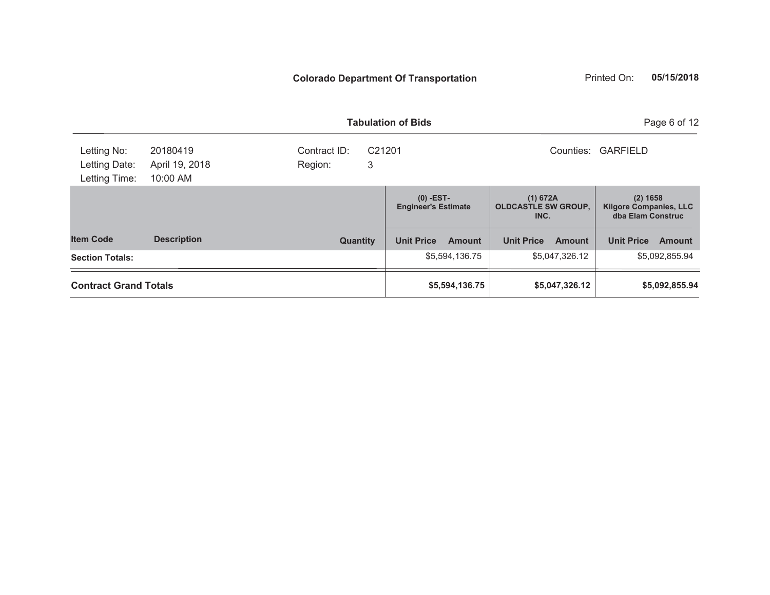|                                               |                                        |                              | <b>Tabulation of Bids</b>                 |                                                | Page 6 of 12                                                     |  |
|-----------------------------------------------|----------------------------------------|------------------------------|-------------------------------------------|------------------------------------------------|------------------------------------------------------------------|--|
| Letting No:<br>Letting Date:<br>Letting Time: | 20180419<br>April 19, 2018<br>10:00 AM | Contract ID:<br>3<br>Region: | C <sub>21201</sub>                        | Counties:                                      | <b>GARFIELD</b>                                                  |  |
|                                               |                                        |                              | $(0)$ -EST-<br><b>Engineer's Estimate</b> | (1) 672A<br><b>OLDCASTLE SW GROUP,</b><br>INC. | $(2)$ 1658<br><b>Kilgore Companies, LLC</b><br>dba Elam Construc |  |
| <b>Item Code</b>                              | <b>Description</b>                     | <b>Quantity</b>              | <b>Unit Price</b><br><b>Amount</b>        | <b>Unit Price</b><br><b>Amount</b>             | <b>Unit Price</b><br><b>Amount</b>                               |  |
| <b>Section Totals:</b>                        |                                        |                              | \$5,594,136.75                            | \$5,047,326.12                                 | \$5,092,855.94                                                   |  |
| <b>Contract Grand Totals</b>                  |                                        |                              | \$5,594,136.75                            | \$5,047,326.12                                 | \$5,092,855.94                                                   |  |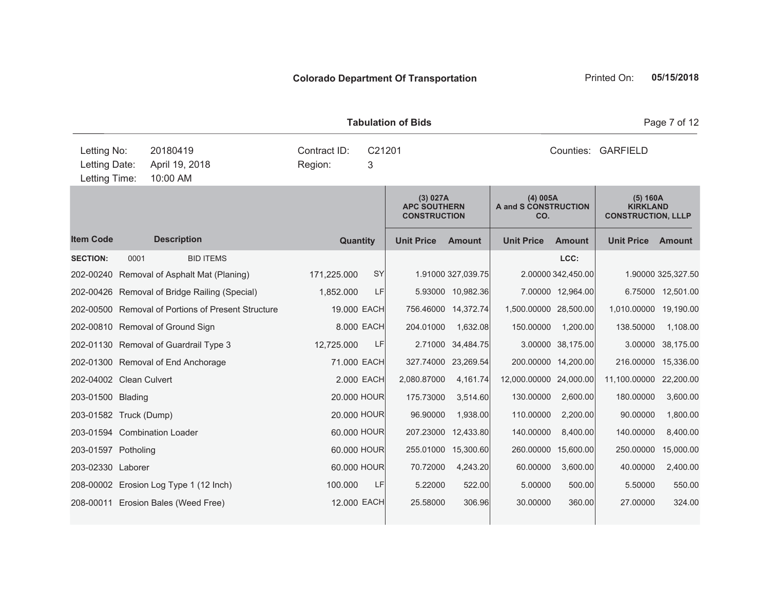| <b>Tabulation of Bids</b>                     |      |                                               |                                                    |                         |             |                                                        |                     |                                         |                     |                                                          | Page 7 of 12       |  |
|-----------------------------------------------|------|-----------------------------------------------|----------------------------------------------------|-------------------------|-------------|--------------------------------------------------------|---------------------|-----------------------------------------|---------------------|----------------------------------------------------------|--------------------|--|
| Letting No:<br>Letting Date:<br>Letting Time: |      | 20180419<br>April 19, 2018<br>10:00 AM        |                                                    | Contract ID:<br>Region: | C21201<br>3 |                                                        |                     |                                         |                     | Counties: GARFIELD                                       |                    |  |
|                                               |      |                                               |                                                    |                         |             | (3) 027A<br><b>APC SOUTHERN</b><br><b>CONSTRUCTION</b> |                     | (4) 005A<br>A and S CONSTRUCTION<br>CO. |                     | (5) 160A<br><b>KIRKLAND</b><br><b>CONSTRUCTION, LLLP</b> |                    |  |
| <b>Item Code</b>                              |      | <b>Description</b>                            |                                                    |                         | Quantity    | <b>Unit Price</b>                                      | <b>Amount</b>       | <b>Unit Price</b>                       | <b>Amount</b>       | <b>Unit Price Amount</b>                                 |                    |  |
| <b>SECTION:</b>                               | 0001 |                                               | <b>BID ITEMS</b>                                   |                         |             |                                                        |                     |                                         | LCC:                |                                                          |                    |  |
|                                               |      | 202-00240 Removal of Asphalt Mat (Planing)    |                                                    | 171,225.000             | SY          |                                                        | 1.91000 327,039.75  |                                         | 2.00000 342,450.00  |                                                          | 1.90000 325,327.50 |  |
|                                               |      | 202-00426 Removal of Bridge Railing (Special) |                                                    | 1,852.000               | LF          |                                                        | 5.93000 10,982.36   |                                         | 7.00000 12,964.00   |                                                          | 6.75000 12,501.00  |  |
|                                               |      |                                               | 202-00500 Removal of Portions of Present Structure |                         | 19.000 EACH |                                                        | 756.46000 14,372.74 | 1,500,00000 28,500.00                   |                     | 1,010.00000                                              | 19,190.00          |  |
|                                               |      | 202-00810 Removal of Ground Sign              |                                                    |                         | 8.000 EACH  | 204.01000                                              | 1,632.08            | 150.00000                               | 1,200.00            | 138.50000                                                | 1,108.00           |  |
|                                               |      | 202-01130 Removal of Guardrail Type 3         |                                                    | 12,725.000              | LF          |                                                        | 2.71000 34,484.75   |                                         | 3.00000 38,175.00   | 3.00000                                                  | 38,175.00          |  |
|                                               |      | 202-01300 Removal of End Anchorage            |                                                    |                         | 71.000 EACH |                                                        | 327.74000 23,269.54 |                                         | 200.00000 14,200.00 | 216.00000                                                | 15,336.00          |  |
| 202-04002 Clean Culvert                       |      |                                               |                                                    |                         | 2.000 EACH  | 2,080.87000                                            | 4,161.74            | 12,000.00000 24,000.00                  |                     | 11,100.00000                                             | 22,200.00          |  |
| 203-01500 Blading                             |      |                                               |                                                    |                         | 20.000 HOUR | 175.73000                                              | 3,514.60            | 130.00000                               | 2,600.00            | 180.00000                                                | 3,600.00           |  |
| 203-01582 Truck (Dump)                        |      |                                               |                                                    |                         | 20.000 HOUR | 96.90000                                               | 1,938.00            | 110.00000                               | 2,200.00            | 90.00000                                                 | 1,800.00           |  |
|                                               |      | 203-01594 Combination Loader                  |                                                    |                         | 60.000 HOUR | 207.23000                                              | 12,433.80           | 140.00000                               | 8,400.00            | 140.00000                                                | 8,400.00           |  |
| 203-01597 Potholing                           |      |                                               |                                                    |                         | 60.000 HOUR |                                                        | 255.01000 15,300.60 |                                         | 260.00000 15,600.00 | 250.00000                                                | 15,000.00          |  |
| 203-02330 Laborer                             |      |                                               |                                                    |                         | 60.000 HOUR | 70.72000                                               | 4,243.20            | 60.00000                                | 3,600.00            | 40.00000                                                 | 2,400.00           |  |
|                                               |      | 208-00002 Erosion Log Type 1 (12 Inch)        |                                                    | 100.000                 | LF          | 5.22000                                                | 522.00              | 5.00000                                 | 500.00              | 5.50000                                                  | 550.00             |  |
|                                               |      | 208-00011 Erosion Bales (Weed Free)           |                                                    |                         | 12.000 EACH | 25.58000                                               | 306.96              | 30.00000                                | 360.00              | 27.00000                                                 | 324.00             |  |
|                                               |      |                                               |                                                    |                         |             |                                                        |                     |                                         |                     |                                                          |                    |  |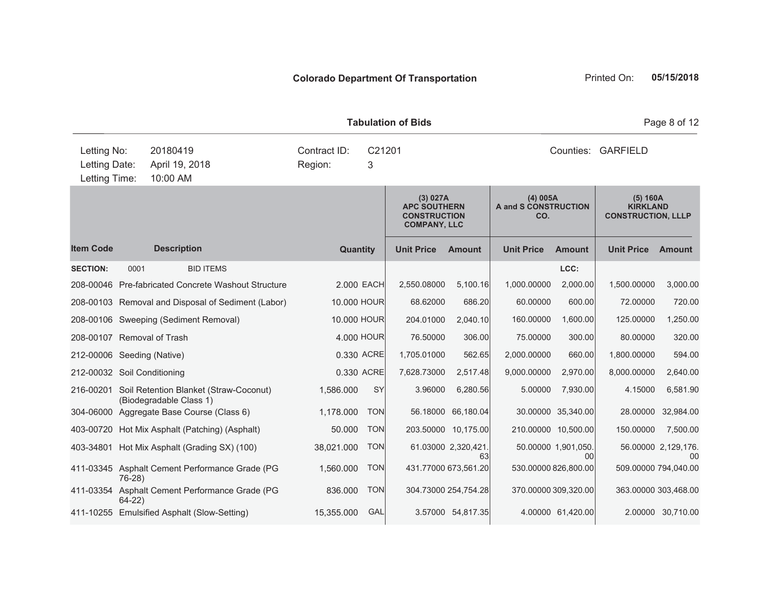| <b>Tabulation of Bids</b>                     |          |                                                                   |                         |             |                                                                               |                          |                                         |                           |                                                          | Page 8 of 12                          |  |
|-----------------------------------------------|----------|-------------------------------------------------------------------|-------------------------|-------------|-------------------------------------------------------------------------------|--------------------------|-----------------------------------------|---------------------------|----------------------------------------------------------|---------------------------------------|--|
| Letting No:<br>Letting Date:<br>Letting Time: |          | 20180419<br>April 19, 2018<br>10:00 AM                            | Contract ID:<br>Region: | C21201<br>3 |                                                                               |                          | Counties: GARFIELD                      |                           |                                                          |                                       |  |
|                                               |          |                                                                   |                         |             | (3) 027A<br><b>APC SOUTHERN</b><br><b>CONSTRUCTION</b><br><b>COMPANY, LLC</b> |                          | (4) 005A<br>A and S CONSTRUCTION<br>CO. |                           | (5) 160A<br><b>KIRKLAND</b><br><b>CONSTRUCTION, LLLP</b> |                                       |  |
| <b>Item Code</b>                              |          | <b>Description</b>                                                | <b>Quantity</b>         |             | <b>Unit Price</b>                                                             | <b>Amount</b>            | <b>Unit Price</b>                       | <b>Amount</b>             | <b>Unit Price</b>                                        | <b>Amount</b>                         |  |
| <b>SECTION:</b>                               | 0001     | <b>BID ITEMS</b>                                                  |                         |             |                                                                               |                          |                                         | LCC:                      |                                                          |                                       |  |
|                                               |          | 208-00046 Pre-fabricated Concrete Washout Structure               | 2.000 EACH              |             | 2,550.08000                                                                   | 5,100.16                 | 1,000.00000                             | 2,000.00                  | 1,500.00000                                              | 3,000.00                              |  |
|                                               |          | 208-00103 Removal and Disposal of Sediment (Labor)                | 10.000 HOUR             |             | 68.62000                                                                      | 686.20                   | 60.00000                                | 600.00                    | 72.00000                                                 | 720.00                                |  |
|                                               |          | 208-00106 Sweeping (Sediment Removal)                             | 10.000 HOUR             |             | 204.01000                                                                     | 2,040.10                 | 160.00000                               | 1,600.00                  | 125.00000                                                | 1,250.00                              |  |
| 208-00107 Removal of Trash                    |          |                                                                   | 4.000 HOUR              |             | 76.50000                                                                      | 306.00                   | 75.00000                                | 300.00                    | 80.00000                                                 | 320.00                                |  |
| 212-00006 Seeding (Native)                    |          |                                                                   | 0.330 ACRE              |             | 1,705.01000                                                                   | 562.65                   | 2,000.00000                             | 660.00                    | 1,800.00000                                              | 594.00                                |  |
| 212-00032 Soil Conditioning                   |          |                                                                   | 0.330 ACRE              |             | 7,628.73000                                                                   | 2,517.48                 | 9,000.00000                             | 2,970.00                  | 8,000.00000                                              | 2,640.00                              |  |
| 216-00201                                     |          | Soil Retention Blanket (Straw-Coconut)<br>(Biodegradable Class 1) | 1,586.000               | <b>SY</b>   | 3.96000                                                                       | 6,280.56                 | 5.00000                                 | 7,930.00                  | 4.15000                                                  | 6,581.90                              |  |
| 304-06000                                     |          | Aggregate Base Course (Class 6)                                   | 1,178.000               | <b>TON</b>  | 56.18000                                                                      | 66,180.04                |                                         | 30.00000 35,340.00        | 28.00000                                                 | 32,984.00                             |  |
|                                               |          | 403-00720 Hot Mix Asphalt (Patching) (Asphalt)                    | 50.000                  | <b>TON</b>  |                                                                               | 203.50000 10,175.00      | 210.00000 10,500.00                     |                           | 150.00000                                                | 7,500.00                              |  |
|                                               |          | 403-34801 Hot Mix Asphalt (Grading SX) (100)                      | 38,021.000              | <b>TON</b>  |                                                                               | 61.03000 2,320,421<br>63 |                                         | 50.00000 1,901,050.<br>00 |                                                          | 56.00000 2,129,176.<br>0 <sup>0</sup> |  |
|                                               | $76-28$  | 411-03345 Asphalt Cement Performance Grade (PG                    | 1,560.000               | <b>TON</b>  |                                                                               | 431.77000 673,561.20     | 530.00000 826,800.00                    |                           | 509.00000 794,040.00                                     |                                       |  |
|                                               | $64-22)$ | 411-03354 Asphalt Cement Performance Grade (PG                    | 836.000                 | <b>TON</b>  |                                                                               | 304.73000 254,754.28     |                                         | 370.00000 309,320.00      | 363.00000 303,468.00                                     |                                       |  |
|                                               |          | 411-10255 Emulsified Asphalt (Slow-Setting)                       | 15,355.000              | GAL         |                                                                               | 3.57000 54,817.35        |                                         | 4.00000 61,420.00         |                                                          | 2.00000 30,710.00                     |  |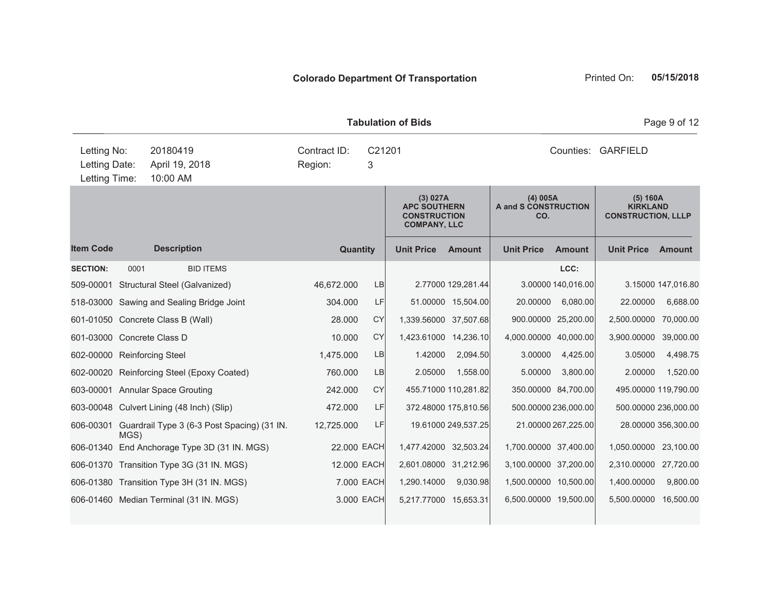| <b>Tabulation of Bids</b>                     |      |                                        |                                                       |  |                                        |            |                                                                               |                      |                                         |                      | Page 9 of 12                                             |                      |  |
|-----------------------------------------------|------|----------------------------------------|-------------------------------------------------------|--|----------------------------------------|------------|-------------------------------------------------------------------------------|----------------------|-----------------------------------------|----------------------|----------------------------------------------------------|----------------------|--|
| Letting No:<br>Letting Date:<br>Letting Time: |      | 20180419<br>April 19, 2018<br>10:00 AM |                                                       |  | Contract ID:<br>C21201<br>Region:<br>3 |            |                                                                               |                      |                                         | Counties: GARFIELD   |                                                          |                      |  |
|                                               |      |                                        |                                                       |  |                                        |            | (3) 027A<br><b>APC SOUTHERN</b><br><b>CONSTRUCTION</b><br><b>COMPANY, LLC</b> |                      | (4) 005A<br>A and S CONSTRUCTION<br>CO. |                      | (5) 160A<br><b>KIRKLAND</b><br><b>CONSTRUCTION, LLLP</b> |                      |  |
| <b>Item Code</b>                              |      | <b>Description</b>                     |                                                       |  | <b>Quantity</b>                        |            | <b>Unit Price</b>                                                             | <b>Amount</b>        | <b>Unit Price</b>                       | <b>Amount</b>        | <b>Unit Price</b>                                        | <b>Amount</b>        |  |
| <b>SECTION:</b>                               | 0001 |                                        | <b>BID ITEMS</b>                                      |  |                                        |            |                                                                               |                      |                                         | LCC:                 |                                                          |                      |  |
| 509-00001                                     |      |                                        | Structural Steel (Galvanized)                         |  | 46,672.000                             | LB         |                                                                               | 2.77000 129,281.44   |                                         | 3.00000 140,016.00   |                                                          | 3.15000 147,016.80   |  |
|                                               |      |                                        | 518-03000 Sawing and Sealing Bridge Joint             |  | 304.000                                | LF         |                                                                               | 51.00000 15,504.00   | 20.00000                                | 6,080.00             | 22.00000                                                 | 6,688.00             |  |
| 601-01050 Concrete Class B (Wall)             |      |                                        |                                                       |  | 28.000                                 | <b>CY</b>  | 1,339.56000 37,507.68                                                         |                      |                                         | 900.00000 25,200.00  | 2,500.00000                                              | 70,000.00            |  |
| 601-03000 Concrete Class D                    |      |                                        |                                                       |  | 10.000                                 | CY         | 1,423.61000 14,236.10                                                         |                      | 4,000.00000 40,000.00                   |                      | 3,900.00000                                              | 39,000.00            |  |
| 602-00000 Reinforcing Steel                   |      |                                        |                                                       |  | 1,475.000                              | <b>LB</b>  | 1.42000                                                                       | 2,094.50             | 3.00000                                 | 4,425.00             | 3.05000                                                  | 4,498.75             |  |
|                                               |      |                                        | 602-00020 Reinforcing Steel (Epoxy Coated)            |  | 760.000                                | LB         | 2.05000                                                                       | 1,558.00             | 5.00000                                 | 3,800.00             | 2.00000                                                  | 1,520.00             |  |
| 603-00001 Annular Space Grouting              |      |                                        |                                                       |  | 242.000                                | <b>CY</b>  |                                                                               | 455.71000 110,281.82 |                                         | 350.00000 84,700.00  |                                                          | 495.00000 119,790.00 |  |
|                                               |      |                                        | 603-00048 Culvert Lining (48 Inch) (Slip)             |  | 472.000                                | LF         |                                                                               | 372.48000 175,810.56 |                                         | 500.00000 236,000.00 |                                                          | 500.00000 236,000.00 |  |
|                                               | MGS) |                                        | 606-00301 Guardrail Type 3 (6-3 Post Spacing) (31 IN. |  | 12,725.000                             | LF         |                                                                               | 19.61000 249,537.25  |                                         | 21.00000 267,225.00  |                                                          | 28.00000 356,300.00  |  |
|                                               |      |                                        | 606-01340 End Anchorage Type 3D (31 IN. MGS)          |  | 22.000 EACH                            |            | 1,477.42000 32,503.24                                                         |                      | 1,700.00000 37,400.00                   |                      | 1,050.00000 23,100.00                                    |                      |  |
|                                               |      |                                        | 606-01370 Transition Type 3G (31 IN. MGS)             |  | 12.000 EACH                            |            | 2,601.08000 31,212.96                                                         |                      | 3,100.00000 37,200.00                   |                      | 2,310.00000 27,720.00                                    |                      |  |
|                                               |      |                                        | 606-01380 Transition Type 3H (31 IN. MGS)             |  |                                        | 7.000 EACH | 1,290.14000                                                                   | 9,030.98             | 1,500.00000 10,500.00                   |                      | 1,400.00000                                              | 9,800.00             |  |
|                                               |      |                                        | 606-01460 Median Terminal (31 IN. MGS)                |  |                                        | 3.000 EACH | 5,217.77000 15,653.31                                                         |                      | 6,500.00000 19,500.00                   |                      | 5,500.00000                                              | 16,500.00            |  |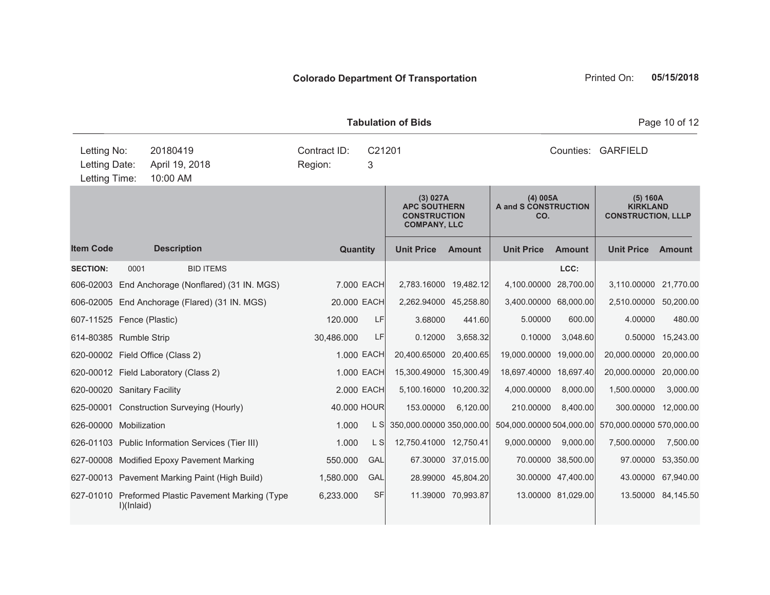|                                                                                                       | <b>Tabulation of Bids</b> |                                                                                                                                                                                                                                                |  |                                                     |                                                                  |                                                                                                                                            |                                                          |                                                                                                                                                      |                                                    |                                                                                                                                  | Page 10 of 12                                                          |
|-------------------------------------------------------------------------------------------------------|---------------------------|------------------------------------------------------------------------------------------------------------------------------------------------------------------------------------------------------------------------------------------------|--|-----------------------------------------------------|------------------------------------------------------------------|--------------------------------------------------------------------------------------------------------------------------------------------|----------------------------------------------------------|------------------------------------------------------------------------------------------------------------------------------------------------------|----------------------------------------------------|----------------------------------------------------------------------------------------------------------------------------------|------------------------------------------------------------------------|
| Letting No:<br>Letting Date:<br>Letting Time:                                                         |                           | 20180419<br>April 19, 2018<br>10:00 AM                                                                                                                                                                                                         |  | Contract ID:<br>C21201<br>Region:<br>3              |                                                                  |                                                                                                                                            | Counties: GARFIELD                                       |                                                                                                                                                      |                                                    |                                                                                                                                  |                                                                        |
|                                                                                                       |                           |                                                                                                                                                                                                                                                |  |                                                     |                                                                  | (3) 027A<br><b>APC SOUTHERN</b><br><b>CONSTRUCTION</b><br><b>COMPANY, LLC</b>                                                              |                                                          | $(4)$ 005A<br><b>A and S CONSTRUCTION</b><br>CO.                                                                                                     |                                                    | (5) 160A<br><b>KIRKLAND</b><br><b>CONSTRUCTION, LLLP</b>                                                                         |                                                                        |
| <b>Item Code</b>                                                                                      |                           | <b>Description</b>                                                                                                                                                                                                                             |  | Quantity                                            |                                                                  | <b>Unit Price</b>                                                                                                                          | <b>Amount</b>                                            | <b>Unit Price</b>                                                                                                                                    | <b>Amount</b>                                      | <b>Unit Price</b>                                                                                                                | <b>Amount</b>                                                          |
| <b>SECTION:</b><br>607-11525 Fence (Plastic)<br>614-80385 Rumble Strip<br>620-00020 Sanitary Facility | 0001                      | <b>BID ITEMS</b><br>606-02003 End Anchorage (Nonflared) (31 IN. MGS)<br>606-02005 End Anchorage (Flared) (31 IN. MGS)<br>620-00002 Field Office (Class 2)<br>620-00012 Field Laboratory (Class 2)<br>625-00001 Construction Surveying (Hourly) |  | 20.000 EACH<br>120,000<br>30,486.000<br>40.000 HOUR | 7.000 EACH<br>LF<br>LF<br>1.000 EACH<br>1.000 EACH<br>2.000 EACH | 2,783.16000 19,482.12<br>2,262.94000 45,258.80<br>3.68000<br>0.12000<br>20,400.65000<br>15,300.49000 15,300.49<br>5,100.16000<br>153.00000 | 441.60<br>3,658.32<br>20,400.65<br>10,200.32<br>6,120.00 | 4,100.00000 28,700.00<br>3,400.00000 68,000.00<br>5.00000<br>0.10000<br>19,000.00000 19,000.00<br>18,697.40000 18,697.40<br>4,000.00000<br>210.00000 | LCC:<br>600.00<br>3.048.60<br>8,000.00<br>8,400.00 | 3,110.00000 21,770.00<br>2,510.00000 50,200.00<br>4.00000<br>0.50000<br>20,000.00000<br>20,000.00000<br>1,500.00000<br>300.00000 | 480.00<br>15,243.00<br>20,000.00<br>20,000.00<br>3,000.00<br>12,000.00 |
| 626-00000 Mobilization                                                                                |                           | 626-01103 Public Information Services (Tier III)<br>627-00008 Modified Epoxy Pavement Marking                                                                                                                                                  |  | 1.000<br>1.000<br>550.000                           | L S<br>$L$ S<br>GAL                                              | 350,000.00000 350,000.00<br>12,750.41000 12,750.41                                                                                         | 67.30000 37,015.00                                       | 504,000.00000 504,000.00<br>9,000.00000                                                                                                              | 9,000.00<br>70.00000 38,500.00                     | 570,000.00000 570,000.00<br>7,500.00000<br>97.00000                                                                              | 7,500.00<br>53,350.00                                                  |
|                                                                                                       | I)(Inlaid)                | 627-00013 Pavement Marking Paint (High Build)<br>627-01010 Preformed Plastic Pavement Marking (Type                                                                                                                                            |  | 1,580.000<br>6,233.000                              | GAL<br><b>SF</b>                                                 | 28.99000                                                                                                                                   | 45,804.20<br>11.39000 70,993.87                          |                                                                                                                                                      | 30.00000 47,400.00<br>13.00000 81,029.00           | 43.00000                                                                                                                         | 67,940.00<br>13.50000 84,145.50                                        |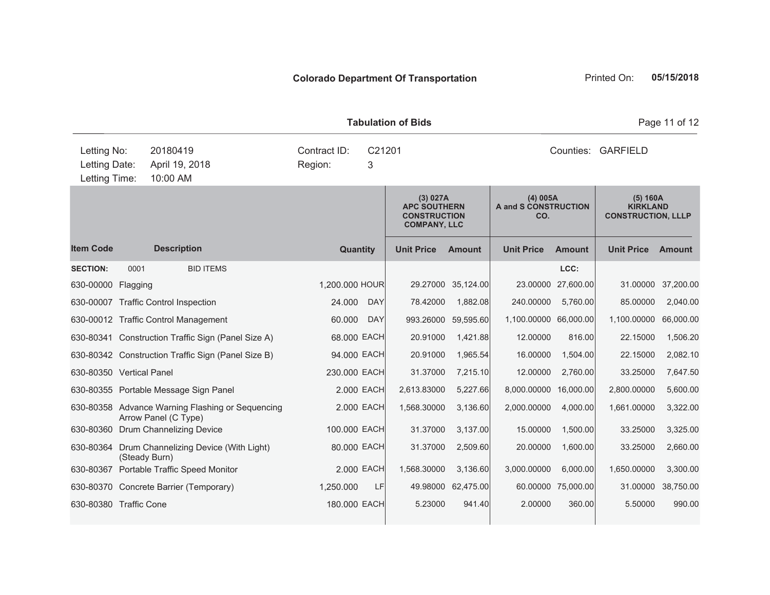| <b>Tabulation of Bids</b>                                         |               |                                                                                                                                                                                                                                                                                                                                                                         |                                                                                                                |                                        |                                                                                                                 |                                                                                                            |                                                                                                                              |                                                                                                      |                                                                                                                   | Page 11 of 12                                                                                              |
|-------------------------------------------------------------------|---------------|-------------------------------------------------------------------------------------------------------------------------------------------------------------------------------------------------------------------------------------------------------------------------------------------------------------------------------------------------------------------------|----------------------------------------------------------------------------------------------------------------|----------------------------------------|-----------------------------------------------------------------------------------------------------------------|------------------------------------------------------------------------------------------------------------|------------------------------------------------------------------------------------------------------------------------------|------------------------------------------------------------------------------------------------------|-------------------------------------------------------------------------------------------------------------------|------------------------------------------------------------------------------------------------------------|
| Letting No:<br>Letting Date:<br>Letting Time:                     |               | 20180419<br>April 19, 2018<br>10:00 AM                                                                                                                                                                                                                                                                                                                                  | Contract ID:<br>Region:                                                                                        | C21201<br>3                            |                                                                                                                 |                                                                                                            |                                                                                                                              |                                                                                                      | Counties: GARFIELD                                                                                                |                                                                                                            |
|                                                                   |               |                                                                                                                                                                                                                                                                                                                                                                         |                                                                                                                |                                        | (3) 027A<br><b>APC SOUTHERN</b><br><b>CONSTRUCTION</b><br><b>COMPANY, LLC</b>                                   |                                                                                                            | (4) 005A<br>A and S CONSTRUCTION<br>CO.                                                                                      |                                                                                                      | (5) 160A<br><b>KIRKLAND</b><br><b>CONSTRUCTION, LLLP</b>                                                          |                                                                                                            |
| <b>Item Code</b>                                                  |               | <b>Description</b>                                                                                                                                                                                                                                                                                                                                                      | <b>Quantity</b>                                                                                                |                                        | <b>Unit Price</b>                                                                                               | <b>Amount</b>                                                                                              | <b>Unit Price</b>                                                                                                            | <b>Amount</b>                                                                                        | <b>Unit Price</b>                                                                                                 | <b>Amount</b>                                                                                              |
| <b>SECTION:</b><br>630-00000 Flagging<br>630-80350 Vertical Panel | 0001          | <b>BID ITEMS</b><br>630-00007 Traffic Control Inspection<br>630-00012 Traffic Control Management<br>630-80341 Construction Traffic Sign (Panel Size A)<br>630-80342 Construction Traffic Sign (Panel Size B)<br>630-80355 Portable Message Sign Panel<br>630-80358 Advance Warning Flashing or Sequencing<br>Arrow Panel (C Type)<br>630-80360 Drum Channelizing Device | 1,200.000 HOUR<br>24.000<br>60.000<br>68.000 EACH<br>94.000 EACH<br>230.000 EACH<br>2.000 EACH<br>100.000 EACH | <b>DAY</b><br><b>DAY</b><br>2.000 EACH | 29.27000<br>78.42000<br>993.26000<br>20.91000<br>20.91000<br>31.37000<br>2,613.83000<br>1,568.30000<br>31.37000 | 35,124.00<br>1,882.08<br>59,595.60<br>1,421.88<br>1,965.54<br>7,215.10<br>5,227.66<br>3,136.60<br>3,137.00 | 23.00000<br>240.00000<br>1,100.00000 66,000.00<br>12.00000<br>16.00000<br>12.00000<br>8,000.00000<br>2,000.00000<br>15.00000 | LCC:<br>27,600.00<br>5,760.00<br>816.00<br>1,504.00<br>2,760.00<br>16,000.00<br>4,000.00<br>1,500.00 | 31.00000<br>85.00000<br>1,100.00000<br>22.15000<br>22.15000<br>33.25000<br>2,800.00000<br>1,661.00000<br>33.25000 | 37,200.00<br>2,040.00<br>66,000.00<br>1,506.20<br>2,082.10<br>7,647.50<br>5,600.00<br>3,322.00<br>3,325.00 |
|                                                                   | (Steady Burn) | 630-80364 Drum Channelizing Device (With Light)<br>630-80367 Portable Traffic Speed Monitor                                                                                                                                                                                                                                                                             | 80.000 EACH                                                                                                    | 2.000 EACH                             | 31.37000<br>1,568.30000                                                                                         | 2,509.60<br>3.136.60                                                                                       | 20.00000<br>3,000.00000                                                                                                      | 1,600.00<br>6,000.00                                                                                 | 33.25000<br>1,650.00000                                                                                           | 2,660.00<br>3,300.00                                                                                       |
| 630-80380 Traffic Cone                                            |               | 630-80370 Concrete Barrier (Temporary)                                                                                                                                                                                                                                                                                                                                  | 1,250.000<br>180.000 EACH                                                                                      | LF                                     | 49.98000<br>5.23000                                                                                             | 62,475.00<br>941.40                                                                                        | 2.00000                                                                                                                      | 60.00000 75,000.00<br>360.00                                                                         | 31.00000<br>5.50000                                                                                               | 38,750.00<br>990.00                                                                                        |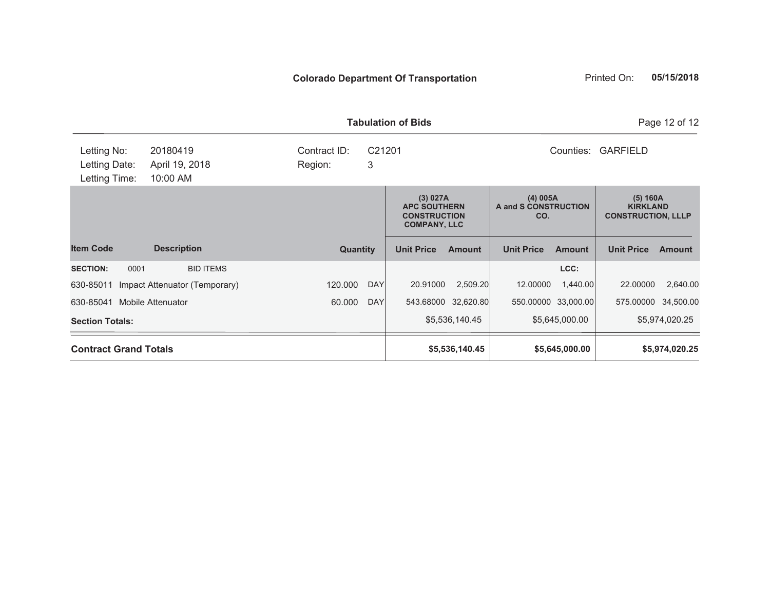|                                               |                                        |                         |             | <b>Tabulation of Bids</b> |                                                                                                                          |                              |                                                          |                     | Page 12 of 12  |
|-----------------------------------------------|----------------------------------------|-------------------------|-------------|---------------------------|--------------------------------------------------------------------------------------------------------------------------|------------------------------|----------------------------------------------------------|---------------------|----------------|
| Letting No:<br>Letting Date:<br>Letting Time: | 20180419<br>April 19, 2018<br>10:00 AM | Contract ID:<br>Region: | C21201<br>3 |                           |                                                                                                                          | Counties:<br><b>GARFIELD</b> |                                                          |                     |                |
|                                               |                                        |                         |             |                           | (3) 027A<br>(4) 005A<br>A and S CONSTRUCTION<br><b>APC SOUTHERN</b><br><b>CONSTRUCTION</b><br>CO.<br><b>COMPANY, LLC</b> |                              | (5) 160A<br><b>KIRKLAND</b><br><b>CONSTRUCTION, LLLP</b> |                     |                |
| <b>Item Code</b>                              | <b>Description</b>                     | <b>Quantity</b>         |             | <b>Unit Price</b>         | <b>Amount</b>                                                                                                            | <b>Unit Price</b>            | <b>Amount</b>                                            | <b>Unit Price</b>   | <b>Amount</b>  |
| 0001<br><b>SECTION:</b>                       | <b>BID ITEMS</b>                       |                         |             |                           |                                                                                                                          |                              | LCC:                                                     |                     |                |
| 630-85011                                     | Impact Attenuator (Temporary)          | 120.000                 | <b>DAY</b>  | 20.91000                  | 2,509.20                                                                                                                 | 12.00000                     | 1,440.00                                                 | 22.00000            | 2,640.00       |
| 630-85041                                     | <b>Mobile Attenuator</b>               | 60.000                  | <b>DAY</b>  |                           | 543.68000 32,620.80                                                                                                      | 550.00000 33,000.00          |                                                          | 575.00000 34,500.00 |                |
| <b>Section Totals:</b>                        |                                        |                         |             |                           | \$5,536,140.45                                                                                                           |                              | \$5,645,000.00                                           |                     | \$5,974,020.25 |
| <b>Contract Grand Totals</b>                  |                                        |                         |             |                           | \$5,536,140.45                                                                                                           |                              | \$5,645,000.00                                           |                     | \$5,974,020.25 |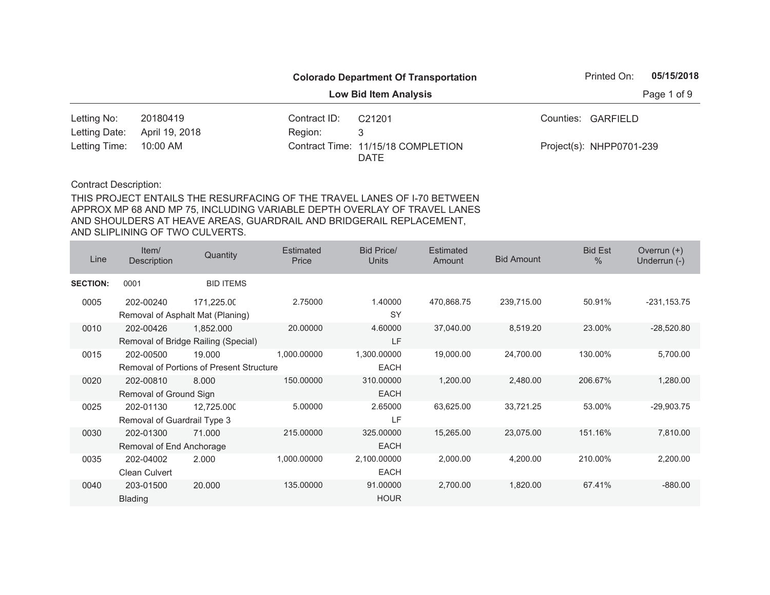|                        |                |              | <b>Colorado Department Of Transportation</b> | Printed On:              | 05/15/2018  |
|------------------------|----------------|--------------|----------------------------------------------|--------------------------|-------------|
|                        |                |              | <b>Low Bid Item Analysis</b>                 |                          | Page 1 of 9 |
| Letting No:            | 20180419       | Contract ID: | C <sub>21201</sub>                           | Counties: GARFIELD       |             |
| Letting Date:          | April 19, 2018 | Region:      |                                              |                          |             |
| Letting Time: 10:00 AM |                |              | Contract Time: 11/15/18 COMPLETION<br>DATE   | Project(s): NHPP0701-239 |             |

| Line            | Item/<br>Description                     | Quantity                                                  | <b>Estimated</b><br>Price | <b>Bid Price/</b><br><b>Units</b> | <b>Estimated</b><br>Amount | <b>Bid Amount</b> | <b>Bid Est</b><br>$\frac{0}{0}$ | Overrun $(+)$<br>Underrun (-) |
|-----------------|------------------------------------------|-----------------------------------------------------------|---------------------------|-----------------------------------|----------------------------|-------------------|---------------------------------|-------------------------------|
| <b>SECTION:</b> | 0001                                     | <b>BID ITEMS</b>                                          |                           |                                   |                            |                   |                                 |                               |
| 0005            | 202-00240                                | 171,225.00<br>Removal of Asphalt Mat (Planing)            | 2.75000                   | 1.40000<br>SY                     | 470,868.75                 | 239,715.00        | 50.91%                          | $-231, 153.75$                |
| 0010            | 202-00426                                | 1,852.000<br>Removal of Bridge Railing (Special)          | 20.00000                  | 4.60000<br><b>LF</b>              | 37,040.00                  | 8,519.20          | 23.00%                          | $-28,520.80$                  |
| 0015            | 202-00500                                | 19.000<br><b>Removal of Portions of Present Structure</b> | 1,000.00000               | 1,300.00000<br><b>EACH</b>        | 19,000.00                  | 24,700.00         | 130.00%                         | 5,700.00                      |
| 0020            | 202-00810<br>Removal of Ground Sign      | 8.000                                                     | 150.00000                 | 310.00000<br><b>EACH</b>          | 1,200.00                   | 2,480.00          | 206.67%                         | 1,280.00                      |
| 0025            | 202-01130<br>Removal of Guardrail Type 3 | 12,725.000                                                | 5.00000                   | 2.65000<br>LF                     | 63,625.00                  | 33,721.25         | 53.00%                          | $-29,903.75$                  |
| 0030            | 202-01300<br>Removal of End Anchorage    | 71.000                                                    | 215.00000                 | 325.00000<br><b>EACH</b>          | 15,265.00                  | 23,075.00         | 151.16%                         | 7,810.00                      |
| 0035            | 202-04002<br>Clean Culvert               | 2.000                                                     | 1,000.00000               | 2,100.00000<br><b>EACH</b>        | 2,000.00                   | 4,200.00          | 210.00%                         | 2,200.00                      |
| 0040            | 203-01500<br><b>Blading</b>              | 20.000                                                    | 135.00000                 | 91.00000<br><b>HOUR</b>           | 2,700.00                   | 1,820.00          | 67.41%                          | $-880.00$                     |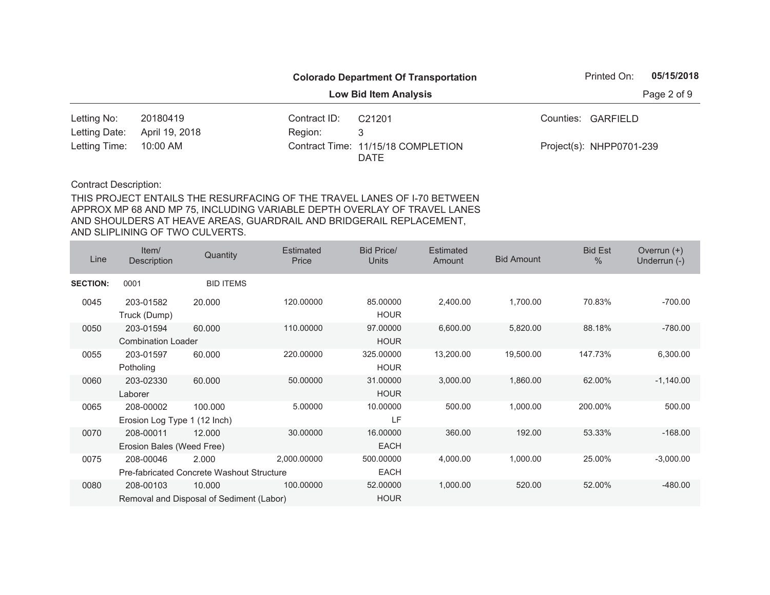|                        |                |              | <b>Colorado Department Of Transportation</b> | Printed On:              | 05/15/2018  |
|------------------------|----------------|--------------|----------------------------------------------|--------------------------|-------------|
|                        |                |              | <b>Low Bid Item Analysis</b>                 |                          | Page 2 of 9 |
| Letting No:            | 20180419       | Contract ID: | C <sub>21201</sub>                           | Counties: GARFIELD       |             |
| Letting Date:          | April 19, 2018 | Region:      | 3                                            |                          |             |
| Letting Time: 10:00 AM |                |              | Contract Time: 11/15/18 COMPLETION<br>DATE   | Project(s): NHPP0701-239 |             |

| Line            | Item/<br><b>Description</b>               | Quantity                                                  | <b>Estimated</b><br>Price | <b>Bid Price/</b><br><b>Units</b> | <b>Estimated</b><br>Amount | <b>Bid Amount</b> | <b>Bid Est</b><br>$\frac{0}{0}$ | Overrun $(+)$<br>Underrun (-) |
|-----------------|-------------------------------------------|-----------------------------------------------------------|---------------------------|-----------------------------------|----------------------------|-------------------|---------------------------------|-------------------------------|
| <b>SECTION:</b> | 0001                                      | <b>BID ITEMS</b>                                          |                           |                                   |                            |                   |                                 |                               |
| 0045            | 203-01582<br>Truck (Dump)                 | 20.000                                                    | 120.00000                 | 85.00000<br><b>HOUR</b>           | 2,400.00                   | 1,700.00          | 70.83%                          | $-700.00$                     |
| 0050            | 203-01594<br><b>Combination Loader</b>    | 60.000                                                    | 110.00000                 | 97.00000<br><b>HOUR</b>           | 6,600.00                   | 5,820.00          | 88.18%                          | $-780.00$                     |
| 0055            | 203-01597<br>Potholing                    | 60.000                                                    | 220.00000                 | 325.00000<br><b>HOUR</b>          | 13,200.00                  | 19,500.00         | 147.73%                         | 6,300.00                      |
| 0060            | 203-02330<br>Laborer                      | 60.000                                                    | 50.00000                  | 31.00000<br><b>HOUR</b>           | 3,000.00                   | 1,860.00          | 62.00%                          | $-1,140.00$                   |
| 0065            | 208-00002<br>Erosion Log Type 1 (12 Inch) | 100.000                                                   | 5.00000                   | 10.00000<br>LF                    | 500.00                     | 1,000.00          | 200.00%                         | 500.00                        |
| 0070            | 208-00011<br>Erosion Bales (Weed Free)    | 12.000                                                    | 30.00000                  | 16.00000<br><b>EACH</b>           | 360.00                     | 192.00            | 53.33%                          | $-168.00$                     |
| 0075            | 208-00046                                 | 2.000<br><b>Pre-fabricated Concrete Washout Structure</b> | 2,000.00000               | 500.00000<br>EACH                 | 4,000.00                   | 1,000.00          | 25.00%                          | $-3,000.00$                   |
| 0080            | 208-00103                                 | 10.000<br>Removal and Disposal of Sediment (Labor)        | 100.00000                 | 52.00000<br><b>HOUR</b>           | 1,000.00                   | 520.00            | 52.00%                          | $-480.00$                     |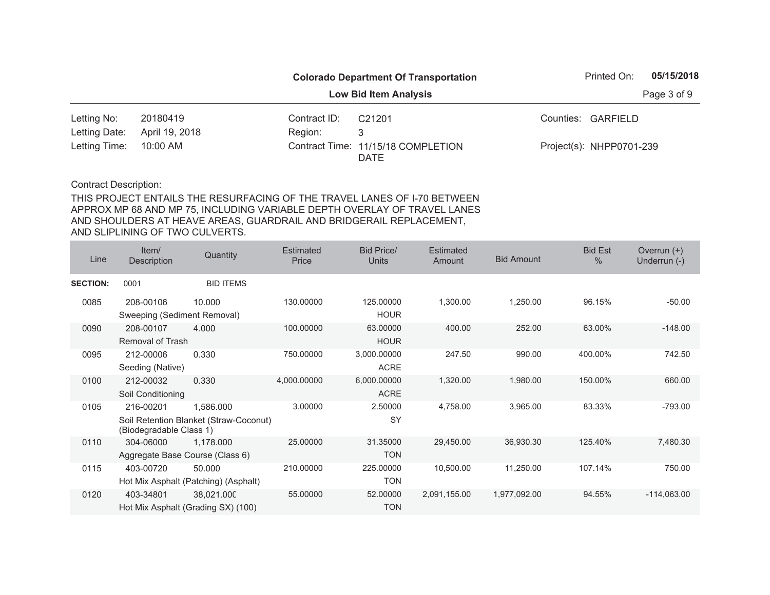|                        |                |              | <b>Colorado Department Of Transportation</b> | Printed On:              | 05/15/2018  |
|------------------------|----------------|--------------|----------------------------------------------|--------------------------|-------------|
|                        |                |              | <b>Low Bid Item Analysis</b>                 |                          | Page 3 of 9 |
| Letting No:            | 20180419       | Contract ID: | C <sub>21201</sub>                           | Counties: GARFIELD       |             |
| Letting Date:          | April 19, 2018 | Region:      | 3                                            |                          |             |
| Letting Time: 10:00 AM |                |              | Contract Time: 11/15/18 COMPLETION<br>DATE   | Project(s): NHPP0701-239 |             |

| Line            | Item/<br>Description                     | Quantity                                            | <b>Estimated</b><br>Price | <b>Bid Price/</b><br><b>Units</b> | <b>Estimated</b><br>Amount | <b>Bid Amount</b> | <b>Bid Est</b><br>$\frac{0}{0}$ | Overrun $(+)$<br>Underrun (-) |
|-----------------|------------------------------------------|-----------------------------------------------------|---------------------------|-----------------------------------|----------------------------|-------------------|---------------------------------|-------------------------------|
| <b>SECTION:</b> | 0001                                     | <b>BID ITEMS</b>                                    |                           |                                   |                            |                   |                                 |                               |
| 0085            | 208-00106<br>Sweeping (Sediment Removal) | 10.000                                              | 130.00000                 | 125.00000<br><b>HOUR</b>          | 1,300.00                   | 1,250.00          | 96.15%                          | $-50.00$                      |
| 0090            | 208-00107<br>Removal of Trash            | 4.000                                               | 100.00000                 | 63.00000<br><b>HOUR</b>           | 400.00                     | 252.00            | 63.00%                          | $-148.00$                     |
| 0095            | 212-00006<br>Seeding (Native)            | 0.330                                               | 750.00000                 | 3,000.00000<br><b>ACRE</b>        | 247.50                     | 990.00            | 400.00%                         | 742.50                        |
| 0100            | 212-00032<br>Soil Conditioning           | 0.330                                               | 4,000.00000               | 6,000.00000<br><b>ACRE</b>        | 1,320.00                   | 1,980.00          | 150.00%                         | 660.00                        |
| 0105            | 216-00201<br>(Biodegradable Class 1)     | 1,586.000<br>Soil Retention Blanket (Straw-Coconut) | 3.00000                   | 2.50000<br>SY                     | 4,758.00                   | 3,965.00          | 83.33%                          | $-793.00$                     |
| 0110            | 304-06000                                | 1,178.000<br>Aggregate Base Course (Class 6)        | 25.00000                  | 31.35000<br><b>TON</b>            | 29,450.00                  | 36,930.30         | 125.40%                         | 7,480.30                      |
| 0115            | 403-00720                                | 50.000<br>Hot Mix Asphalt (Patching) (Asphalt)      | 210.00000                 | 225.00000<br><b>TON</b>           | 10,500.00                  | 11,250.00         | 107.14%                         | 750.00                        |
| 0120            | 403-34801                                | 38,021.000<br>Hot Mix Asphalt (Grading SX) (100)    | 55.00000                  | 52.00000<br><b>TON</b>            | 2,091,155.00               | 1,977,092.00      | 94.55%                          | $-114,063.00$                 |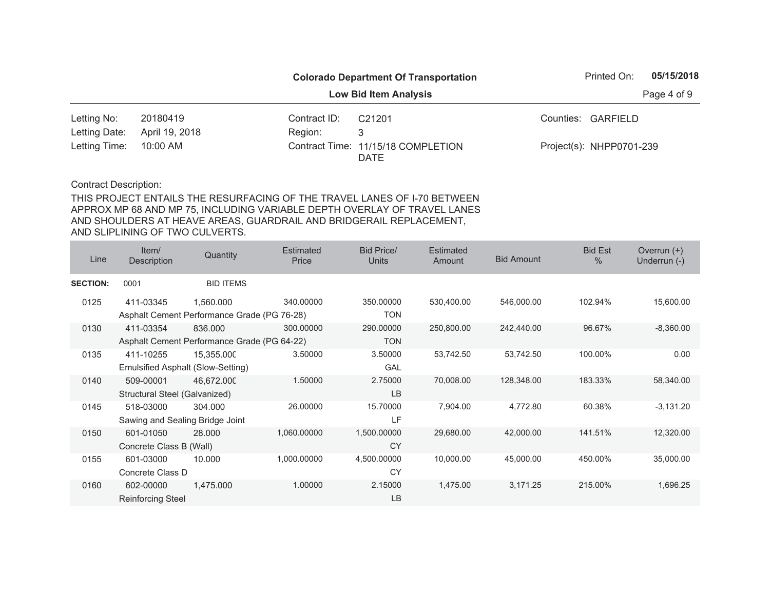|                        |                |              | <b>Colorado Department Of Transportation</b> | Printed On:              | 05/15/2018  |
|------------------------|----------------|--------------|----------------------------------------------|--------------------------|-------------|
|                        |                |              | <b>Low Bid Item Analysis</b>                 |                          | Page 4 of 9 |
| Letting No:            | 20180419       | Contract ID: | C <sub>21201</sub>                           | Counties: GARFIELD       |             |
| Letting Date:          | April 19, 2018 | Region:      |                                              |                          |             |
| Letting Time: 10:00 AM |                |              | Contract Time: 11/15/18 COMPLETION<br>DATE   | Project(s): NHPP0701-239 |             |

| Line            | Item/<br>Description              | Quantity                                    | <b>Estimated</b><br>Price | <b>Bid Price/</b><br><b>Units</b> | <b>Estimated</b><br>Amount | <b>Bid Amount</b> | <b>Bid Est</b><br>$\frac{0}{0}$ | Overrun $(+)$<br>Underrun (-) |
|-----------------|-----------------------------------|---------------------------------------------|---------------------------|-----------------------------------|----------------------------|-------------------|---------------------------------|-------------------------------|
| <b>SECTION:</b> | 0001                              | <b>BID ITEMS</b>                            |                           |                                   |                            |                   |                                 |                               |
| 0125            | 411-03345                         | 1,560.000                                   | 340.00000                 | 350.00000                         | 530,400.00                 | 546,000.00        | 102.94%                         | 15,600.00                     |
|                 |                                   | Asphalt Cement Performance Grade (PG 76-28) |                           | <b>TON</b>                        |                            |                   |                                 |                               |
| 0130            | 411-03354                         | 836,000                                     | 300.00000                 | 290,00000                         | 250,800.00                 | 242,440.00        | 96.67%                          | $-8,360.00$                   |
|                 |                                   | Asphalt Cement Performance Grade (PG 64-22) |                           | <b>TON</b>                        |                            |                   |                                 |                               |
| 0135            | 411-10255                         | 15,355.000                                  | 3.50000                   | 3.50000                           | 53,742.50                  | 53,742.50         | 100.00%                         | 0.00                          |
|                 | Emulsified Asphalt (Slow-Setting) |                                             |                           | <b>GAL</b>                        |                            |                   |                                 |                               |
| 0140            | 509-00001                         | 46,672.000                                  | 1.50000                   | 2.75000                           | 70,008.00                  | 128,348.00        | 183.33%                         | 58,340.00                     |
|                 | Structural Steel (Galvanized)     |                                             |                           | <b>LB</b>                         |                            |                   |                                 |                               |
| 0145            | 518-03000                         | 304.000                                     | 26.00000                  | 15.70000                          | 7,904.00                   | 4,772.80          | 60.38%                          | $-3,131.20$                   |
|                 | Sawing and Sealing Bridge Joint   |                                             |                           | LF                                |                            |                   |                                 |                               |
| 0150            | 601-01050                         | 28.000                                      | 1,060.00000               | 1,500.00000                       | 29,680.00                  | 42,000.00         | 141.51%                         | 12,320.00                     |
|                 | Concrete Class B (Wall)           |                                             |                           | <b>CY</b>                         |                            |                   |                                 |                               |
| 0155            | 601-03000                         | 10.000                                      | 1,000.00000               | 4,500.00000                       | 10,000.00                  | 45,000.00         | 450.00%                         | 35,000.00                     |
|                 | Concrete Class D                  |                                             |                           | CY                                |                            |                   |                                 |                               |
| 0160            | 602-00000                         | 1,475.000                                   | 1.00000                   | 2.15000                           | 1,475.00                   | 3,171.25          | 215.00%                         | 1,696.25                      |
|                 | <b>Reinforcing Steel</b>          |                                             |                           | LB                                |                            |                   |                                 |                               |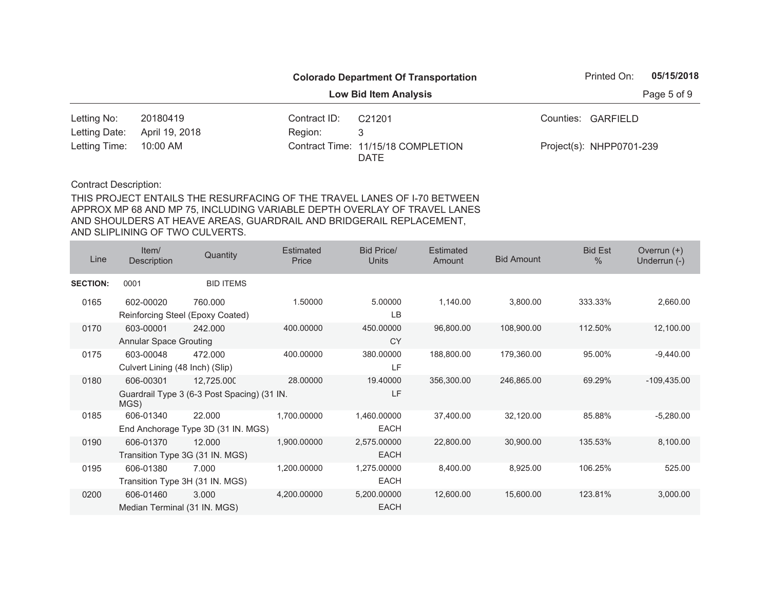|                        |                |              | <b>Colorado Department Of Transportation</b> | Printed On:              | 05/15/2018  |
|------------------------|----------------|--------------|----------------------------------------------|--------------------------|-------------|
|                        |                |              | <b>Low Bid Item Analysis</b>                 |                          | Page 5 of 9 |
| Letting No:            | 20180419       | Contract ID: | C <sub>21201</sub>                           | Counties: GARFIELD       |             |
| Letting Date:          | April 19, 2018 | Region:      |                                              |                          |             |
| Letting Time: 10:00 AM |                |              | Contract Time: 11/15/18 COMPLETION<br>DATE   | Project(s): NHPP0701-239 |             |

| Line            | Item/<br><b>Description</b>                  | Quantity                                                  | <b>Estimated</b><br>Price | <b>Bid Price/</b><br><b>Units</b> | <b>Estimated</b><br>Amount | <b>Bid Amount</b> | <b>Bid Est</b><br>$\frac{0}{0}$ | Overrun $(+)$<br>Underrun (-) |
|-----------------|----------------------------------------------|-----------------------------------------------------------|---------------------------|-----------------------------------|----------------------------|-------------------|---------------------------------|-------------------------------|
| <b>SECTION:</b> | 0001                                         | <b>BID ITEMS</b>                                          |                           |                                   |                            |                   |                                 |                               |
| 0165            | 602-00020                                    | 760,000<br>Reinforcing Steel (Epoxy Coated)               | 1.50000                   | 5.00000<br>LВ                     | 1,140.00                   | 3,800.00          | 333.33%                         | 2,660.00                      |
| 0170            | 603-00001<br><b>Annular Space Grouting</b>   | 242.000                                                   | 400.00000                 | 450.00000<br><b>CY</b>            | 96,800.00                  | 108,900.00        | 112.50%                         | 12,100.00                     |
| 0175            | 603-00048<br>Culvert Lining (48 Inch) (Slip) | 472.000                                                   | 400.00000                 | 380.00000<br>LF                   | 188,800.00                 | 179,360.00        | 95.00%                          | $-9,440.00$                   |
| 0180            | 606-00301<br>MGS)                            | 12,725.000<br>Guardrail Type 3 (6-3 Post Spacing) (31 IN. | 28.00000                  | 19.40000<br>LF                    | 356,300.00                 | 246,865.00        | 69.29%                          | $-109,435.00$                 |
| 0185            | 606-01340                                    | 22,000<br>End Anchorage Type 3D (31 IN. MGS)              | 1,700.00000               | 1,460.00000<br>EACH               | 37,400.00                  | 32,120.00         | 85.88%                          | $-5,280.00$                   |
| 0190            | 606-01370                                    | 12.000<br>Transition Type 3G (31 IN. MGS)                 | 1,900.00000               | 2,575.00000<br><b>EACH</b>        | 22,800.00                  | 30,900.00         | 135.53%                         | 8,100.00                      |
| 0195            | 606-01380<br>Transition Type 3H (31 IN. MGS) | 7.000                                                     | 1,200.00000               | 1,275.00000<br><b>EACH</b>        | 8,400.00                   | 8,925.00          | 106.25%                         | 525.00                        |
| 0200            | 606-01460<br>Median Terminal (31 IN. MGS)    | 3.000                                                     | 4,200.00000               | 5,200.00000<br><b>EACH</b>        | 12,600.00                  | 15,600.00         | 123.81%                         | 3,000.00                      |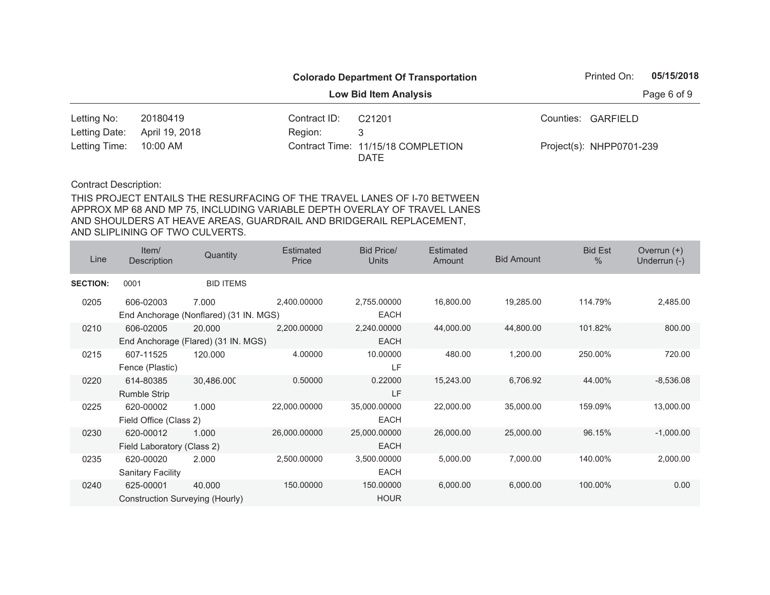|                        |                |              | <b>Colorado Department Of Transportation</b> | Printed On:              | 05/15/2018 |
|------------------------|----------------|--------------|----------------------------------------------|--------------------------|------------|
|                        |                |              | Page 6 of 9                                  |                          |            |
| Letting No:            | 20180419       | Contract ID: | C <sub>21201</sub>                           | Counties: GARFIELD       |            |
| Letting Date:          | April 19, 2018 | Region:      |                                              |                          |            |
| Letting Time: 10:00 AM |                |              | Contract Time: 11/15/18 COMPLETION<br>DATE   | Project(s): NHPP0701-239 |            |

| Line            | Item/<br>Description            | Quantity                               | <b>Estimated</b><br>Price | <b>Bid Price/</b><br><b>Units</b> | <b>Estimated</b><br>Amount | <b>Bid Amount</b> | <b>Bid Est</b><br>$\%$ | Overrun $(+)$<br>Underrun (-) |
|-----------------|---------------------------------|----------------------------------------|---------------------------|-----------------------------------|----------------------------|-------------------|------------------------|-------------------------------|
| <b>SECTION:</b> | 0001                            | <b>BID ITEMS</b>                       |                           |                                   |                            |                   |                        |                               |
| 0205            | 606-02003                       | 7.000                                  | 2,400.00000               | 2,755.00000                       | 16,800.00                  | 19,285.00         | 114.79%                | 2,485.00                      |
|                 |                                 | End Anchorage (Nonflared) (31 IN. MGS) |                           | <b>EACH</b>                       |                            |                   |                        |                               |
| 0210            | 606-02005                       | 20,000                                 | 2,200.00000               | 2,240.00000                       | 44,000.00                  | 44,800.00         | 101.82%                | 800.00                        |
|                 |                                 | End Anchorage (Flared) (31 IN. MGS)    |                           | <b>EACH</b>                       |                            |                   |                        |                               |
| 0215            | 607-11525                       | 120.000                                | 4.00000                   | 10.00000                          | 480.00                     | 1,200.00          | 250.00%                | 720.00                        |
|                 | Fence (Plastic)                 |                                        |                           | LF                                |                            |                   |                        |                               |
| 0220            | 614-80385                       | 30,486.000                             | 0.50000                   | 0.22000                           | 15,243.00                  | 6,706.92          | 44.00%                 | $-8,536.08$                   |
|                 | Rumble Strip                    |                                        |                           | LF                                |                            |                   |                        |                               |
| 0225            | 620-00002                       | 1.000                                  | 22,000.00000              | 35,000.00000                      | 22,000.00                  | 35,000.00         | 159.09%                | 13,000.00                     |
|                 | Field Office (Class 2)          |                                        |                           | <b>EACH</b>                       |                            |                   |                        |                               |
| 0230            | 620-00012                       | 1.000                                  | 26,000.00000              | 25,000.00000                      | 26,000.00                  | 25,000.00         | 96.15%                 | $-1,000.00$                   |
|                 | Field Laboratory (Class 2)      |                                        |                           | <b>EACH</b>                       |                            |                   |                        |                               |
| 0235            | 620-00020                       | 2.000                                  | 2,500.00000               | 3,500.00000                       | 5,000.00                   | 7,000.00          | 140.00%                | 2,000.00                      |
|                 | <b>Sanitary Facility</b>        |                                        |                           | <b>EACH</b>                       |                            |                   |                        |                               |
| 0240            | 625-00001                       | 40.000                                 | 150.00000                 | 150.00000                         | 6,000.00                   | 6,000.00          | 100.00%                | 0.00                          |
|                 | Construction Surveying (Hourly) |                                        |                           | <b>HOUR</b>                       |                            |                   |                        |                               |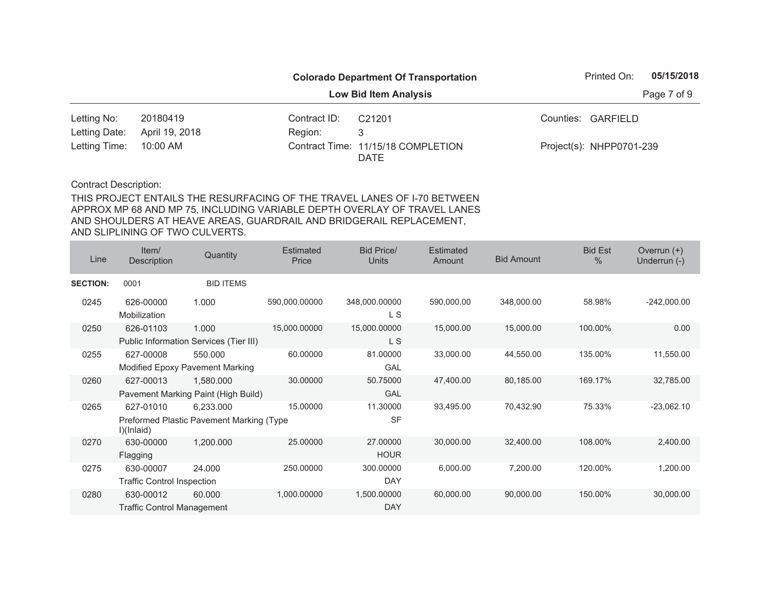|                        |                |              | <b>Colorado Department Of Transportation</b> | Printed On:              | 05/15/2018 |
|------------------------|----------------|--------------|----------------------------------------------|--------------------------|------------|
|                        |                | Page 7 of 9  |                                              |                          |            |
| Letting No:            | 20180419       | Contract ID: | C <sub>21201</sub>                           | Counties: GARFIELD       |            |
| Letting Date:          | April 19, 2018 | Region:      |                                              |                          |            |
| Letting Time: 10:00 AM |                |              | Contract Time: 11/15/18 COMPLETION<br>DATE   | Project(s): NHPP0701-239 |            |

| Line            | Item/<br>Description              | Quantity                                 | <b>Estimated</b><br>Price | <b>Bid Price/</b><br><b>Units</b> | <b>Estimated</b><br>Amount | <b>Bid Amount</b> | <b>Bid Est</b><br>$\%$ | Overrun $(+)$<br>Underrun (-) |
|-----------------|-----------------------------------|------------------------------------------|---------------------------|-----------------------------------|----------------------------|-------------------|------------------------|-------------------------------|
| <b>SECTION:</b> | 0001                              | <b>BID ITEMS</b>                         |                           |                                   |                            |                   |                        |                               |
| 0245            | 626-00000<br>Mobilization         | 1.000                                    | 590,000.00000             | 348,000.00000<br>L S              | 590,000.00                 | 348,000.00        | 58.98%                 | $-242,000.00$                 |
| 0250            | 626-01103                         | 1.000                                    | 15,000.00000              | 15,000.00000                      | 15,000.00                  | 15,000.00         | 100.00%                | 0.00                          |
|                 |                                   | Public Information Services (Tier III)   |                           | L S                               |                            |                   |                        |                               |
| 0255            | 627-00008                         | 550.000                                  | 60.00000                  | 81.00000                          | 33,000.00                  | 44,550.00         | 135.00%                | 11,550.00                     |
|                 |                                   | Modified Epoxy Pavement Marking          |                           | <b>GAL</b>                        |                            |                   |                        |                               |
| 0260            | 627-00013                         | 1,580.000                                | 30.00000                  | 50.75000                          | 47,400.00                  | 80,185.00         | 169.17%                | 32,785.00                     |
|                 |                                   | Pavement Marking Paint (High Build)      |                           | GAL                               |                            |                   |                        |                               |
| 0265            | 627-01010                         | 6,233.000                                | 15.00000                  | 11.30000                          | 93,495.00                  | 70,432.90         | 75.33%                 | $-23,062.10$                  |
|                 | I)(Inlaid)                        | Preformed Plastic Pavement Marking (Type |                           | <b>SF</b>                         |                            |                   |                        |                               |
| 0270            | 630-00000                         | 1,200.000                                | 25.00000                  | 27.00000                          | 30,000.00                  | 32,400.00         | 108.00%                | 2,400.00                      |
|                 | Flagging                          |                                          |                           | <b>HOUR</b>                       |                            |                   |                        |                               |
| 0275            | 630-00007                         | 24.000                                   | 250,00000                 | 300.00000                         | 6,000.00                   | 7,200.00          | 120.00%                | 1,200.00                      |
|                 | <b>Traffic Control Inspection</b> |                                          |                           | <b>DAY</b>                        |                            |                   |                        |                               |
| 0280            | 630-00012                         | 60.000                                   | 1,000.00000               | 1,500.00000                       | 60,000.00                  | 90,000.00         | 150.00%                | 30,000.00                     |
|                 | <b>Traffic Control Management</b> |                                          |                           | <b>DAY</b>                        |                            |                   |                        |                               |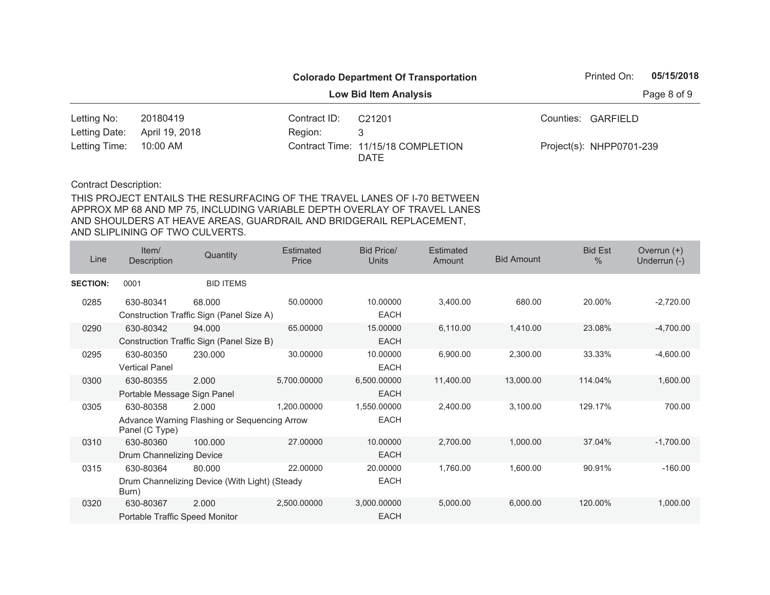|                        |                |              | <b>Colorado Department Of Transportation</b> | Printed On:              | 05/15/2018  |
|------------------------|----------------|--------------|----------------------------------------------|--------------------------|-------------|
|                        |                |              | <b>Low Bid Item Analysis</b>                 |                          | Page 8 of 9 |
| Letting No:            | 20180419       | Contract ID: | C <sub>21201</sub>                           | Counties: GARFIELD       |             |
| Letting Date:          | April 19, 2018 | Region:      |                                              |                          |             |
| Letting Time: 10:00 AM |                |              | Contract Time: 11/15/18 COMPLETION<br>DATE   | Project(s): NHPP0701-239 |             |

| Line            | Item/<br>Description                        | Quantity                                                | <b>Estimated</b><br>Price | <b>Bid Price/</b><br><b>Units</b> | <b>Estimated</b><br>Amount | <b>Bid Amount</b> | <b>Bid Est</b><br>$\%$ | Overrun $(+)$<br>Underrun (-) |
|-----------------|---------------------------------------------|---------------------------------------------------------|---------------------------|-----------------------------------|----------------------------|-------------------|------------------------|-------------------------------|
| <b>SECTION:</b> | 0001                                        | <b>BID ITEMS</b>                                        |                           |                                   |                            |                   |                        |                               |
| 0285            | 630-80341                                   | 68,000<br>Construction Traffic Sign (Panel Size A)      | 50.00000                  | 10.00000<br><b>EACH</b>           | 3,400.00                   | 680.00            | 20.00%                 | $-2,720.00$                   |
| 0290            | 630-80342                                   | 94.000<br>Construction Traffic Sign (Panel Size B)      | 65.00000                  | 15.00000<br><b>EACH</b>           | 6,110.00                   | 1,410.00          | 23.08%                 | $-4,700.00$                   |
| 0295            | 630-80350<br><b>Vertical Panel</b>          | 230.000                                                 | 30.00000                  | 10.00000<br><b>EACH</b>           | 6,900.00                   | 2,300.00          | 33.33%                 | $-4,600.00$                   |
| 0300            | 630-80355<br>Portable Message Sign Panel    | 2.000                                                   | 5,700.00000               | 6,500.00000<br><b>EACH</b>        | 11,400.00                  | 13,000.00         | 114.04%                | 1,600.00                      |
| 0305            | 630-80358<br>Panel (C Type)                 | 2.000<br>Advance Warning Flashing or Sequencing Arrow   | 1,200.00000               | 1,550.00000<br><b>EACH</b>        | 2,400.00                   | 3,100.00          | 129.17%                | 700.00                        |
| 0310            | 630-80360<br>Drum Channelizing Device       | 100.000                                                 | 27.00000                  | 10.00000<br><b>EACH</b>           | 2,700.00                   | 1,000.00          | 37.04%                 | $-1,700.00$                   |
| 0315            | 630-80364<br>Burn)                          | 80.000<br>Drum Channelizing Device (With Light) (Steady | 22.00000                  | 20.00000<br><b>EACH</b>           | 1,760.00                   | 1,600.00          | 90.91%                 | $-160.00$                     |
| 0320            | 630-80367<br>Portable Traffic Speed Monitor | 2.000                                                   | 2,500.00000               | 3,000.00000<br><b>EACH</b>        | 5,000.00                   | 6,000.00          | 120.00%                | 1,000.00                      |